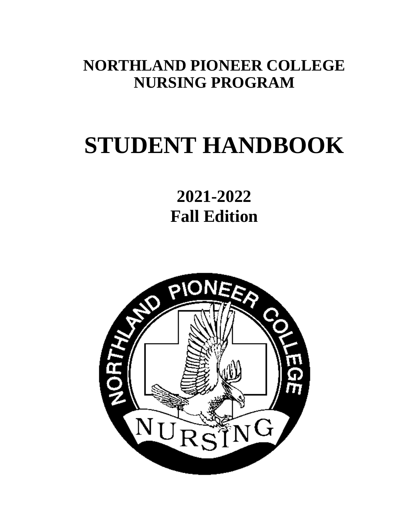# **NORTHLAND PIONEER COLLEGE NURSING PROGRAM**

# **STUDENT HANDBOOK**

**2021-2022 Fall Edition**

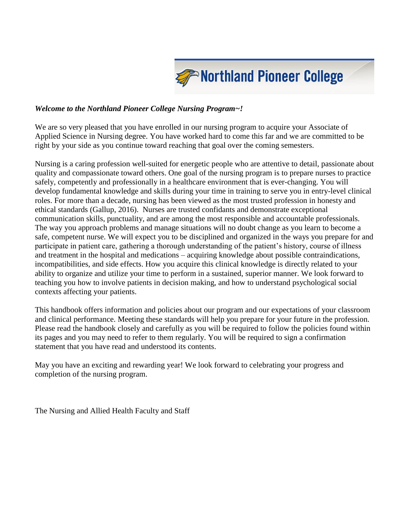

#### *Welcome to the Northland Pioneer College Nursing Program~!*

We are so very pleased that you have enrolled in our nursing program to acquire your Associate of Applied Science in Nursing degree. You have worked hard to come this far and we are committed to be right by your side as you continue toward reaching that goal over the coming semesters.

Nursing is a caring profession well-suited for energetic people who are attentive to detail, passionate about quality and compassionate toward others. One goal of the nursing program is to prepare nurses to practice safely, competently and professionally in a healthcare environment that is ever-changing. You will develop fundamental knowledge and skills during your time in training to serve you in entry-level clinical roles. For more than a decade, nursing has been viewed as the most trusted profession in honesty and ethical standards (Gallup, 2016). Nurses are trusted confidants and demonstrate exceptional communication skills, punctuality, and are among the most responsible and accountable professionals. The way you approach problems and manage situations will no doubt change as you learn to become a safe, competent nurse. We will expect you to be disciplined and organized in the ways you prepare for and participate in patient care, gathering a thorough understanding of the patient's history, course of illness and treatment in the hospital and medications – acquiring knowledge about possible contraindications, incompatibilities, and side effects. How you acquire this clinical knowledge is directly related to your ability to organize and utilize your time to perform in a sustained, superior manner. We look forward to teaching you how to involve patients in decision making, and how to understand psychological social contexts affecting your patients.

This handbook offers information and policies about our program and our expectations of your classroom and clinical performance. Meeting these standards will help you prepare for your future in the profession. Please read the handbook closely and carefully as you will be required to follow the policies found within its pages and you may need to refer to them regularly. You will be required to sign a confirmation statement that you have read and understood its contents.

May you have an exciting and rewarding year! We look forward to celebrating your progress and completion of the nursing program.

The Nursing and Allied Health Faculty and Staff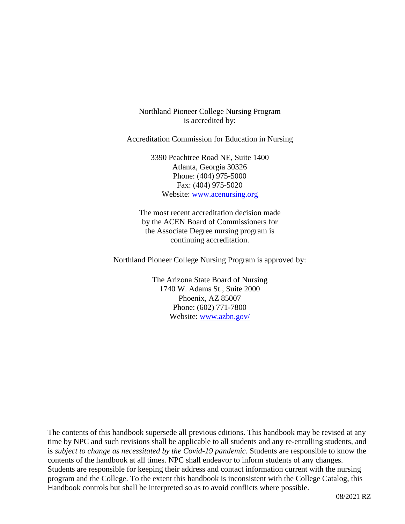Northland Pioneer College Nursing Program is accredited by:

Accreditation Commission for Education in Nursing

3390 Peachtree Road NE, Suite 1400 Atlanta, Georgia 30326 Phone: (404) 975-5000 Fax: (404) 975-5020 Website: [www.acenursing.org](http://www.acenursing.org/)

The most recent accreditation decision made by the ACEN Board of Commissioners for the Associate Degree nursing program is continuing accreditation.

Northland Pioneer College Nursing Program is approved by:

The Arizona State Board of Nursing 1740 W. Adams St., Suite 2000 Phoenix, AZ 85007 Phone: (602) 771-7800 Website: [www.azbn.gov/](http://www.azbn.gov/)

The contents of this handbook supersede all previous editions. This handbook may be revised at any time by NPC and such revisions shall be applicable to all students and any re-enrolling students, and is *subject to change as necessitated by the Covid-19 pandemic*. Students are responsible to know the contents of the handbook at all times. NPC shall endeavor to inform students of any changes. Students are responsible for keeping their address and contact information current with the nursing program and the College. To the extent this handbook is inconsistent with the College Catalog, this Handbook controls but shall be interpreted so as to avoid conflicts where possible.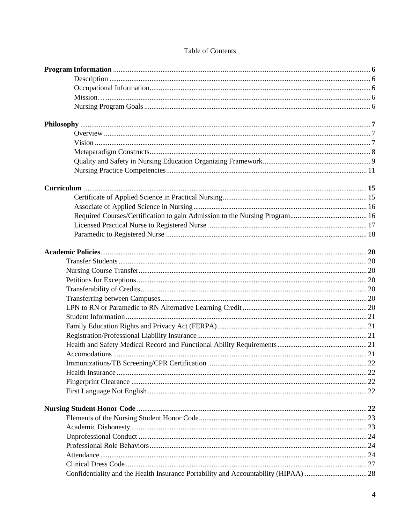#### Table of Contents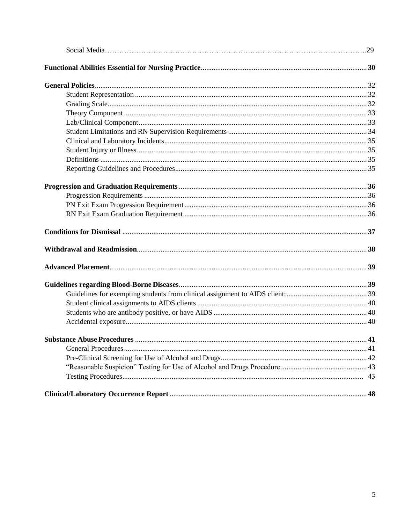| 41 |
|----|
|    |
|    |
|    |
|    |
|    |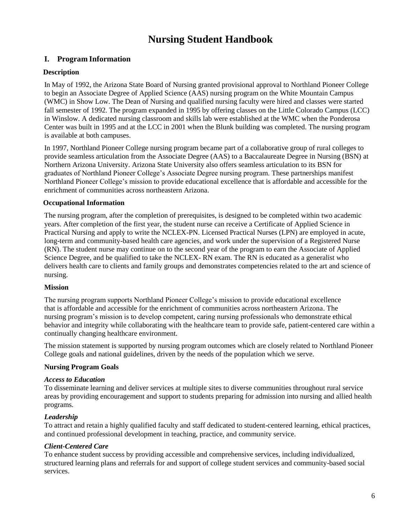## **Nursing Student Handbook**

#### **I. Program Information**

#### **Description**

In May of 1992, the Arizona State Board of Nursing granted provisional approval to Northland Pioneer College to begin an Associate Degree of Applied Science (AAS) nursing program on the White Mountain Campus (WMC) in Show Low. The Dean of Nursing and qualified nursing faculty were hired and classes were started fall semester of 1992. The program expanded in 1995 by offering classes on the Little Colorado Campus (LCC) in Winslow. A dedicated nursing classroom and skills lab were established at the WMC when the Ponderosa Center was built in 1995 and at the LCC in 2001 when the Blunk building was completed. The nursing program is available at both campuses.

In 1997, Northland Pioneer College nursing program became part of a collaborative group of rural colleges to provide seamless articulation from the Associate Degree (AAS) to a Baccalaureate Degree in Nursing (BSN) at Northern Arizona University. Arizona State University also offers seamless articulation to its BSN for graduates of Northland Pioneer College's Associate Degree nursing program. These partnerships manifest Northland Pioneer College's mission to provide educational excellence that is affordable and accessible for the enrichment of communities across northeastern Arizona.

#### **Occupational Information**

The nursing program, after the completion of prerequisites, is designed to be completed within two academic years. After completion of the first year, the student nurse can receive a Certificate of Applied Science in Practical Nursing and apply to write the NCLEX-PN. Licensed Practical Nurses (LPN) are employed in acute, long-term and community-based health care agencies, and work under the supervision of a Registered Nurse (RN). The student nurse may continue on to the second year of the program to earn the Associate of Applied Science Degree, and be qualified to take the NCLEX- RN exam. The RN is educated as a generalist who delivers health care to clients and family groups and demonstrates competencies related to the art and science of nursing.

#### **Mission**

The nursing program supports Northland Pioneer College's mission to provide educational excellence that is affordable and accessible for the enrichment of communities across northeastern Arizona. The nursing program's mission is to develop competent, caring nursing professionals who demonstrate ethical behavior and integrity while collaborating with the healthcare team to provide safe, patient-centered care within a continually changing healthcare environment.

The mission statement is supported by nursing program outcomes which are closely related to Northland Pioneer College goals and national guidelines, driven by the needs of the population which we serve.

#### **Nursing Program Goals**

#### *Access to Education*

To disseminate learning and deliver services at multiple sites to diverse communities throughout rural service areas by providing encouragement and support to students preparing for admission into nursing and allied health programs.

#### *Leadership*

To attract and retain a highly qualified faculty and staff dedicated to student-centered learning, ethical practices, and continued professional development in teaching, practice, and community service.

#### *Client-Centered Care*

To enhance student success by providing accessible and comprehensive services, including individualized, structured learning plans and referrals for and support of college student services and community-based social services.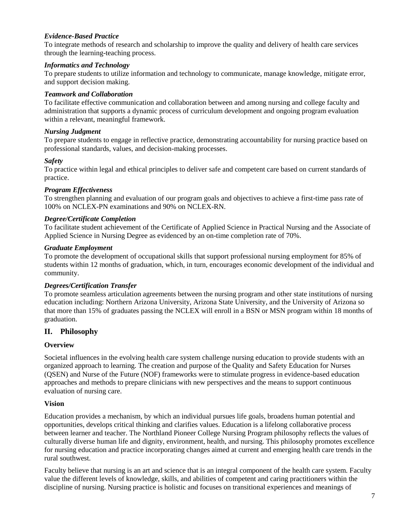#### *Evidence-Based Practice*

To integrate methods of research and scholarship to improve the quality and delivery of health care services through the learning-teaching process.

#### *Informatics and Technology*

To prepare students to utilize information and technology to communicate, manage knowledge, mitigate error, and support decision making.

#### *Teamwork and Collaboration*

To facilitate effective communication and collaboration between and among nursing and college faculty and administration that supports a dynamic process of curriculum development and ongoing program evaluation within a relevant, meaningful framework.

#### *Nursing Judgment*

To prepare students to engage in reflective practice, demonstrating accountability for nursing practice based on professional standards, values, and decision-making processes.

#### *Safety*

To practice within legal and ethical principles to deliver safe and competent care based on current standards of practice.

#### *Program Effectiveness*

To strengthen planning and evaluation of our program goals and objectives to achieve a first-time pass rate of 100% on NCLEX-PN examinations and 90% on NCLEX-RN.

#### *Degree/Certificate Completion*

To facilitate student achievement of the Certificate of Applied Science in Practical Nursing and the Associate of Applied Science in Nursing Degree as evidenced by an on-time completion rate of 70%.

#### *Graduate Employment*

To promote the development of occupational skills that support professional nursing employment for 85% of students within 12 months of graduation, which, in turn, encourages economic development of the individual and community.

#### *Degrees/Certification Transfer*

To promote seamless articulation agreements between the nursing program and other state institutions of nursing education including: Northern Arizona University, Arizona State University, and the University of Arizona so that more than 15% of graduates passing the NCLEX will enroll in a BSN or MSN program within 18 months of graduation.

#### **II. Philosophy**

#### **Overview**

Societal influences in the evolving health care system challenge nursing education to provide students with an organized approach to learning. The creation and purpose of the Quality and Safety Education for Nurses (QSEN) and Nurse of the Future (NOF) frameworks were to stimulate progress in evidence-based education approaches and methods to prepare clinicians with new perspectives and the means to support continuous evaluation of nursing care.

#### **Vision**

Education provides a mechanism, by which an individual pursues life goals, broadens human potential and opportunities, develops critical thinking and clarifies values. Education is a lifelong collaborative process between learner and teacher. The Northland Pioneer College Nursing Program philosophy reflects the values of culturally diverse human life and dignity, environment, health, and nursing. This philosophy promotes excellence for nursing education and practice incorporating changes aimed at current and emerging health care trends in the rural southwest.

Faculty believe that nursing is an art and science that is an integral component of the health care system. Faculty value the different levels of knowledge, skills, and abilities of competent and caring practitioners within the discipline of nursing. Nursing practice is holistic and focuses on transitional experiences and meanings of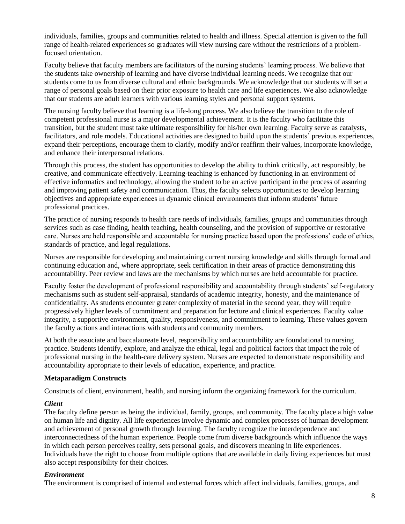individuals, families, groups and communities related to health and illness. Special attention is given to the full range of health-related experiences so graduates will view nursing care without the restrictions of a problemfocused orientation.

Faculty believe that faculty members are facilitators of the nursing students' learning process. We believe that the students take ownership of learning and have diverse individual learning needs. We recognize that our students come to us from diverse cultural and ethnic backgrounds. We acknowledge that our students will set a range of personal goals based on their prior exposure to health care and life experiences. We also acknowledge that our students are adult learners with various learning styles and personal support systems.

The nursing faculty believe that learning is a life-long process. We also believe the transition to the role of competent professional nurse is a major developmental achievement. It is the faculty who facilitate this transition, but the student must take ultimate responsibility for his/her own learning. Faculty serve as catalysts, facilitators, and role models. Educational activities are designed to build upon the students' previous experiences, expand their perceptions, encourage them to clarify, modify and/or reaffirm their values, incorporate knowledge, and enhance their interpersonal relations.

Through this process, the student has opportunities to develop the ability to think critically, act responsibly, be creative, and communicate effectively. Learning-teaching is enhanced by functioning in an environment of effective informatics and technology, allowing the student to be an active participant in the process of assuring and improving patient safety and communication. Thus, the faculty selects opportunities to develop learning objectives and appropriate experiences in dynamic clinical environments that inform students' future professional practices.

The practice of nursing responds to health care needs of individuals, families, groups and communities through services such as case finding, health teaching, health counseling, and the provision of supportive or restorative care. Nurses are held responsible and accountable for nursing practice based upon the professions' code of ethics, standards of practice, and legal regulations.

Nurses are responsible for developing and maintaining current nursing knowledge and skills through formal and continuing education and, where appropriate, seek certification in their areas of practice demonstrating this accountability. Peer review and laws are the mechanisms by which nurses are held accountable for practice.

Faculty foster the development of professional responsibility and accountability through students' self-regulatory mechanisms such as student self-appraisal, standards of academic integrity, honesty, and the maintenance of confidentiality. As students encounter greater complexity of material in the second year, they will require progressively higher levels of commitment and preparation for lecture and clinical experiences. Faculty value integrity, a supportive environment, quality, responsiveness, and commitment to learning. These values govern the faculty actions and interactions with students and community members.

At both the associate and baccalaureate level, responsibility and accountability are foundational to nursing practice. Students identify, explore, and analyze the ethical, legal and political factors that impact the role of professional nursing in the health-care delivery system. Nurses are expected to demonstrate responsibility and accountability appropriate to their levels of education, experience, and practice.

#### **Metaparadigm Constructs**

Constructs of client, environment, health, and nursing inform the organizing framework for the curriculum.

#### *Client*

The faculty define person as being the individual, family, groups, and community. The faculty place a high value on human life and dignity. All life experiences involve dynamic and complex processes of human development and achievement of personal growth through learning. The faculty recognize the interdependence and interconnectedness of the human experience. People come from diverse backgrounds which influence the ways in which each person perceives reality, sets personal goals, and discovers meaning in life experiences. Individuals have the right to choose from multiple options that are available in daily living experiences but must also accept responsibility for their choices.

#### *Environment*

The environment is comprised of internal and external forces which affect individuals, families, groups, and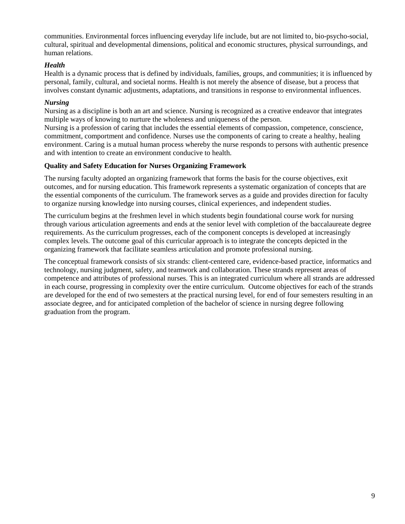communities. Environmental forces influencing everyday life include, but are not limited to, bio-psycho-social, cultural, spiritual and developmental dimensions, political and economic structures, physical surroundings, and human relations.

#### *Health*

Health is a dynamic process that is defined by individuals, families, groups, and communities; it is influenced by personal, family, cultural, and societal norms. Health is not merely the absence of disease, but a process that involves constant dynamic adjustments, adaptations, and transitions in response to environmental influences.

#### *Nursing*

Nursing as a discipline is both an art and science. Nursing is recognized as a creative endeavor that integrates multiple ways of knowing to nurture the wholeness and uniqueness of the person.

Nursing is a profession of caring that includes the essential elements of compassion, competence, conscience, commitment, comportment and confidence. Nurses use the components of caring to create a healthy, healing environment. Caring is a mutual human process whereby the nurse responds to persons with authentic presence and with intention to create an environment conducive to health.

#### **Quality and Safety Education for Nurses Organizing Framework**

The nursing faculty adopted an organizing framework that forms the basis for the course objectives, exit outcomes, and for nursing education. This framework represents a systematic organization of concepts that are the essential components of the curriculum. The framework serves as a guide and provides direction for faculty to organize nursing knowledge into nursing courses, clinical experiences, and independent studies.

The curriculum begins at the freshmen level in which students begin foundational course work for nursing through various articulation agreements and ends at the senior level with completion of the baccalaureate degree requirements. As the curriculum progresses, each of the component concepts is developed at increasingly complex levels. The outcome goal of this curricular approach is to integrate the concepts depicted in the organizing framework that facilitate seamless articulation and promote professional nursing.

The conceptual framework consists of six strands: client-centered care, evidence-based practice, informatics and technology, nursing judgment, safety, and teamwork and collaboration. These strands represent areas of competence and attributes of professional nurses. This is an integrated curriculum where all strands are addressed in each course, progressing in complexity over the entire curriculum. Outcome objectives for each of the strands are developed for the end of two semesters at the practical nursing level, for end of four semesters resulting in an associate degree, and for anticipated completion of the bachelor of science in nursing degree following graduation from the program.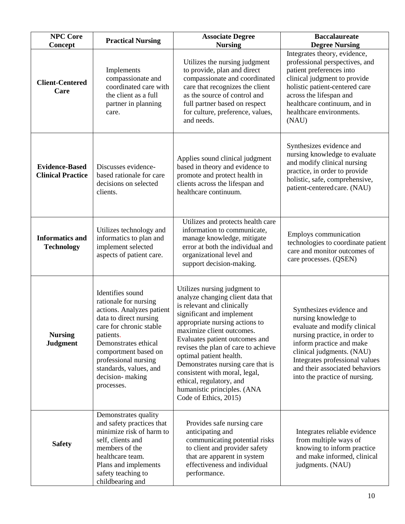| <b>NPC Core</b><br>Concept                        | <b>Practical Nursing</b>                                                                                                                                                                                                                                                    | <b>Associate Degree</b><br><b>Nursing</b>                                                                                                                                                                                                                                                                                                                                                                                                                 | <b>Baccalaureate</b><br><b>Degree Nursing</b>                                                                                                                                                                                                                                   |
|---------------------------------------------------|-----------------------------------------------------------------------------------------------------------------------------------------------------------------------------------------------------------------------------------------------------------------------------|-----------------------------------------------------------------------------------------------------------------------------------------------------------------------------------------------------------------------------------------------------------------------------------------------------------------------------------------------------------------------------------------------------------------------------------------------------------|---------------------------------------------------------------------------------------------------------------------------------------------------------------------------------------------------------------------------------------------------------------------------------|
| <b>Client-Centered</b><br>Care                    | Implements<br>compassionate and<br>coordinated care with<br>the client as a full<br>partner in planning<br>care.                                                                                                                                                            | Utilizes the nursing judgment<br>to provide, plan and direct<br>compassionate and coordinated<br>care that recognizes the client<br>as the source of control and<br>full partner based on respect<br>for culture, preference, values,<br>and needs.                                                                                                                                                                                                       | Integrates theory, evidence,<br>professional perspectives, and<br>patient preferences into<br>clinical judgment to provide<br>holistic patient-centered care<br>across the lifespan and<br>healthcare continuum, and in<br>healthcare environments.<br>(NAU)                    |
| <b>Evidence-Based</b><br><b>Clinical Practice</b> | Discusses evidence-<br>based rationale for care<br>decisions on selected<br>clients.                                                                                                                                                                                        | Applies sound clinical judgment<br>based in theory and evidence to<br>promote and protect health in<br>clients across the lifespan and<br>healthcare continuum.                                                                                                                                                                                                                                                                                           | Synthesizes evidence and<br>nursing knowledge to evaluate<br>and modify clinical nursing<br>practice, in order to provide<br>holistic, safe, comprehensive,<br>patient-centered care. (NAU)                                                                                     |
| <b>Informatics and</b><br><b>Technology</b>       | Utilizes technology and<br>informatics to plan and<br>implement selected<br>aspects of patient care.                                                                                                                                                                        | Utilizes and protects health care<br>information to communicate,<br>manage knowledge, mitigate<br>error at both the individual and<br>organizational level and<br>support decision-making.                                                                                                                                                                                                                                                                | Employs communication<br>technologies to coordinate patient<br>care and monitor outcomes of<br>care processes. (QSEN)                                                                                                                                                           |
| <b>Nursing</b><br><b>Judgment</b>                 | Identifies sound<br>rationale for nursing<br>actions. Analyzes patient<br>data to direct nursing<br>care for chronic stable<br>patients.<br>Demonstrates ethical<br>comportment based on<br>professional nursing<br>standards, values, and<br>decision-making<br>processes. | Utilizes nursing judgment to<br>analyze changing client data that<br>is relevant and clinically<br>significant and implement<br>appropriate nursing actions to<br>maximize client outcomes.<br>Evaluates patient outcomes and<br>revises the plan of care to achieve<br>optimal patient health.<br>Demonstrates nursing care that is<br>consistent with moral, legal,<br>ethical, regulatory, and<br>humanistic principles. (ANA<br>Code of Ethics, 2015) | Synthesizes evidence and<br>nursing knowledge to<br>evaluate and modify clinical<br>nursing practice, in order to<br>inform practice and make<br>clinical judgments. (NAU)<br>Integrates professional values<br>and their associated behaviors<br>into the practice of nursing. |
| <b>Safety</b>                                     | Demonstrates quality<br>and safety practices that<br>minimize risk of harm to<br>self, clients and<br>members of the<br>healthcare team.<br>Plans and implements<br>safety teaching to<br>childbearing and                                                                  | Provides safe nursing care<br>anticipating and<br>communicating potential risks<br>to client and provider safety<br>that are apparent in system<br>effectiveness and individual<br>performance.                                                                                                                                                                                                                                                           | Integrates reliable evidence<br>from multiple ways of<br>knowing to inform practice<br>and make informed, clinical<br>judgments. (NAU)                                                                                                                                          |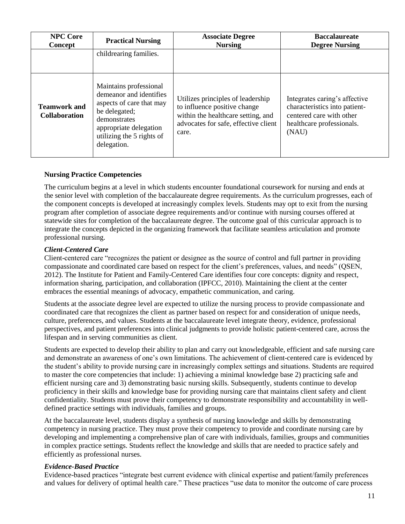| <b>NPC Core</b><br>Concept                  | <b>Practical Nursing</b>                                                                                                                                                             | <b>Associate Degree</b><br><b>Nursing</b>                                                                                                                | <b>Baccalaureate</b><br><b>Degree Nursing</b>                                                                                    |
|---------------------------------------------|--------------------------------------------------------------------------------------------------------------------------------------------------------------------------------------|----------------------------------------------------------------------------------------------------------------------------------------------------------|----------------------------------------------------------------------------------------------------------------------------------|
|                                             | childrearing families.                                                                                                                                                               |                                                                                                                                                          |                                                                                                                                  |
| <b>Teamwork and</b><br><b>Collaboration</b> | Maintains professional<br>demeanor and identifies<br>aspects of care that may<br>be delegated;<br>demonstrates<br>appropriate delegation<br>utilizing the 5 rights of<br>delegation. | Utilizes principles of leadership<br>to influence positive change<br>within the healthcare setting, and<br>advocates for safe, effective client<br>care. | Integrates caring's affective<br>characteristics into patient-<br>centered care with other<br>healthcare professionals.<br>(NAU) |

#### **Nursing Practice Competencies**

The curriculum begins at a level in which students encounter foundational coursework for nursing and ends at the senior level with completion of the baccalaureate degree requirements. As the curriculum progresses, each of the component concepts is developed at increasingly complex levels. Students may opt to exit from the nursing program after completion of associate degree requirements and/or continue with nursing courses offered at statewide sites for completion of the baccalaureate degree. The outcome goal of this curricular approach is to integrate the concepts depicted in the organizing framework that facilitate seamless articulation and promote professional nursing.

#### *Client-Centered Care*

Client-centered care "recognizes the patient or designee as the source of control and full partner in providing compassionate and coordinated care based on respect for the client's preferences, values, and needs" (QSEN, 2012). The Institute for Patient and Family-Centered Care identifies four core concepts: dignity and respect, information sharing, participation, and collaboration (IPFCC, 2010). Maintaining the client at the center embraces the essential meanings of advocacy, empathetic communication, and caring.

Students at the associate degree level are expected to utilize the nursing process to provide compassionate and coordinated care that recognizes the client as partner based on respect for and consideration of unique needs, culture, preferences, and values. Students at the baccalaureate level integrate theory, evidence, professional perspectives, and patient preferences into clinical judgments to provide holistic patient-centered care, across the lifespan and in serving communities as client.

Students are expected to develop their ability to plan and carry out knowledgeable, efficient and safe nursing care and demonstrate an awareness of one's own limitations. The achievement of client-centered care is evidenced by the student's ability to provide nursing care in increasingly complex settings and situations. Students are required to master the core competencies that include: 1) achieving a minimal knowledge base 2) practicing safe and efficient nursing care and 3) demonstrating basic nursing skills. Subsequently, students continue to develop proficiency in their skills and knowledge base for providing nursing care that maintains client safety and client confidentiality. Students must prove their competency to demonstrate responsibility and accountability in welldefined practice settings with individuals, families and groups.

At the baccalaureate level, students display a synthesis of nursing knowledge and skills by demonstrating competency in nursing practice. They must prove their competency to provide and coordinate nursing care by developing and implementing a comprehensive plan of care with individuals, families, groups and communities in complex practice settings. Students reflect the knowledge and skills that are needed to practice safely and efficiently as professional nurses.

#### *Evidence-Based Practice*

Evidence-based practices "integrate best current evidence with clinical expertise and patient/family preferences and values for delivery of optimal health care." These practices "use data to monitor the outcome of care process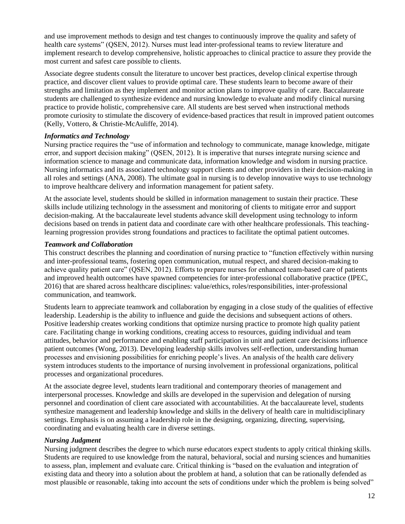and use improvement methods to design and test changes to continuously improve the quality and safety of health care systems" (QSEN, 2012). Nurses must lead inter-professional teams to review literature and implement research to develop comprehensive, holistic approaches to clinical practice to assure they provide the most current and safest care possible to clients.

Associate degree students consult the literature to uncover best practices, develop clinical expertise through practice, and discover client values to provide optimal care. These students learn to become aware of their strengths and limitation as they implement and monitor action plans to improve quality of care. Baccalaureate students are challenged to synthesize evidence and nursing knowledge to evaluate and modify clinical nursing practice to provide holistic, comprehensive care. All students are best served when instructional methods promote curiosity to stimulate the discovery of evidence-based practices that result in improved patient outcomes (Kelly, Vottero, & Christie-McAuliffe, 2014).

#### *Informatics and Technology*

Nursing practice requires the "use of information and technology to communicate, manage knowledge, mitigate error, and support decision making" (QSEN, 2012). It is imperative that nurses integrate nursing science and information science to manage and communicate data, information knowledge and wisdom in nursing practice. Nursing informatics and its associated technology support clients and other providers in their decision-making in all roles and settings (ANA, 2008). The ultimate goal in nursing is to develop innovative ways to use technology to improve healthcare delivery and information management for patient safety.

At the associate level, students should be skilled in information management to sustain their practice. These skills include utilizing technology in the assessment and monitoring of clients to mitigate error and support decision-making. At the baccalaureate level students advance skill development using technology to inform decisions based on trends in patient data and coordinate care with other healthcare professionals. This teachinglearning progression provides strong foundations and practices to facilitate the optimal patient outcomes.

#### *Teamwork and Collaboration*

This construct describes the planning and coordination of nursing practice to "function effectively within nursing and inter-professional teams, fostering open communication, mutual respect, and shared decision-making to achieve quality patient care" (QSEN, 2012). Efforts to prepare nurses for enhanced team-based care of patients and improved health outcomes have spawned competencies for inter-professional collaborative practice (IPEC, 2016) that are shared across healthcare disciplines: value/ethics, roles/responsibilities, inter-professional communication, and teamwork.

Students learn to appreciate teamwork and collaboration by engaging in a close study of the qualities of effective leadership. Leadership is the ability to influence and guide the decisions and subsequent actions of others. Positive leadership creates working conditions that optimize nursing practice to promote high quality patient care. Facilitating change in working conditions, creating access to resources, guiding individual and team attitudes, behavior and performance and enabling staff participation in unit and patient care decisions influence patient outcomes (Wong, 2013). Developing leadership skills involves self-reflection, understanding human processes and envisioning possibilities for enriching people's lives. An analysis of the health care delivery system introduces students to the importance of nursing involvement in professional organizations, political processes and organizational procedures.

At the associate degree level, students learn traditional and contemporary theories of management and interpersonal processes. Knowledge and skills are developed in the supervision and delegation of nursing personnel and coordination of client care associated with accountabilities. At the baccalaureate level, students synthesize management and leadership knowledge and skills in the delivery of health care in multidisciplinary settings. Emphasis is on assuming a leadership role in the designing, organizing, directing, supervising, coordinating and evaluating health care in diverse settings.

#### *Nursing Judgment*

Nursing judgment describes the degree to which nurse educators expect students to apply critical thinking skills. Students are required to use knowledge from the natural, behavioral, social and nursing sciences and humanities to assess, plan, implement and evaluate care. Critical thinking is "based on the evaluation and integration of existing data and theory into a solution about the problem at hand, a solution that can be rationally defended as most plausible or reasonable, taking into account the sets of conditions under which the problem is being solved"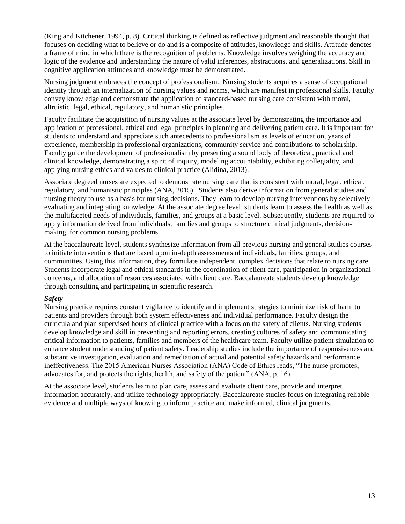(King and Kitchener, 1994, p. 8). Critical thinking is defined as reflective judgment and reasonable thought that focuses on deciding what to believe or do and is a composite of attitudes, knowledge and skills. Attitude denotes a frame of mind in which there is the recognition of problems. Knowledge involves weighing the accuracy and logic of the evidence and understanding the nature of valid inferences, abstractions, and generalizations. Skill in cognitive application attitudes and knowledge must be demonstrated.

Nursing judgment embraces the concept of professionalism. Nursing students acquires a sense of occupational identity through an internalization of nursing values and norms, which are manifest in professional skills. Faculty convey knowledge and demonstrate the application of standard-based nursing care consistent with moral, altruistic, legal, ethical, regulatory, and humanistic principles.

Faculty facilitate the acquisition of nursing values at the associate level by demonstrating the importance and application of professional, ethical and legal principles in planning and delivering patient care. It is important for students to understand and appreciate such antecedents to professionalism as levels of education, years of experience, membership in professional organizations, community service and contributions to scholarship. Faculty guide the development of professionalism by presenting a sound body of theoretical, practical and clinical knowledge, demonstrating a spirit of inquiry, modeling accountability, exhibiting collegiality, and applying nursing ethics and values to clinical practice (Alidina, 2013).

Associate degreed nurses are expected to demonstrate nursing care that is consistent with moral, legal, ethical, regulatory, and humanistic principles (ANA, 2015). Students also derive information from general studies and nursing theory to use as a basis for nursing decisions. They learn to develop nursing interventions by selectively evaluating and integrating knowledge. At the associate degree level, students learn to assess the health as well as the multifaceted needs of individuals, families, and groups at a basic level. Subsequently, students are required to apply information derived from individuals, families and groups to structure clinical judgments, decisionmaking, for common nursing problems.

At the baccalaureate level, students synthesize information from all previous nursing and general studies courses to initiate interventions that are based upon in-depth assessments of individuals, families, groups, and communities. Using this information, they formulate independent, complex decisions that relate to nursing care. Students incorporate legal and ethical standards in the coordination of client care, participation in organizational concerns, and allocation of resources associated with client care. Baccalaureate students develop knowledge through consulting and participating in scientific research.

#### *Safety*

Nursing practice requires constant vigilance to identify and implement strategies to minimize risk of harm to patients and providers through both system effectiveness and individual performance. Faculty design the curricula and plan supervised hours of clinical practice with a focus on the safety of clients. Nursing students develop knowledge and skill in preventing and reporting errors, creating cultures of safety and communicating critical information to patients, families and members of the healthcare team. Faculty utilize patient simulation to enhance student understanding of patient safety. Leadership studies include the importance of responsiveness and substantive investigation, evaluation and remediation of actual and potential safety hazards and performance ineffectiveness. The 2015 American Nurses Association (ANA) Code of Ethics reads, "The nurse promotes, advocates for, and protects the rights, health, and safety of the patient" (ANA, p. 16).

At the associate level, students learn to plan care, assess and evaluate client care, provide and interpret information accurately, and utilize technology appropriately. Baccalaureate studies focus on integrating reliable evidence and multiple ways of knowing to inform practice and make informed, clinical judgments.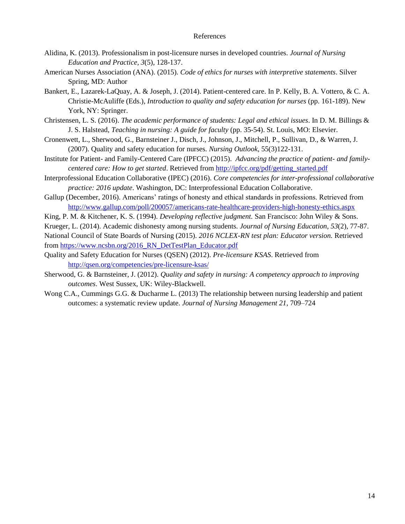#### References

- Alidina, K. (2013). Professionalism in post-licensure nurses in developed countries. *Journal of Nursing Education and Practice, 3*(5), 128-137.
- American Nurses Association (ANA). (2015). *Code of ethics for nurses with interpretive statements*. Silver Spring, MD: Author
- Bankert, E., Lazarek-LaQuay, A. & Joseph, J. (2014). Patient-centered care. In P. Kelly, B. A. Vottero, & C. A. Christie-McAuliffe (Eds.), *Introduction to quality and safety education for nurses* (pp. 161-189). New York, NY: Springer.
- Christensen, L. S. (2016). *The academic performance of students: Legal and ethical issues*. In D. M. Billings & J. S. Halstead, *Teaching in nursing: A guide for faculty* (pp. 35-54). St. Louis, MO: Elsevier.
- Cronenwett, L., Sherwood, G., Barnsteiner J., Disch, J., Johnson, J., Mitchell, P., Sullivan, D., & Warren, J. (2007). Quality and safety education for nurses. *Nursing Outlook*, 55(3)122-131.
- Institute for Patient- and Family-Centered Care (IPFCC) (2015). *Advancing the practice of patient- and familycentered care: How to get started*. Retrieved from [http://ipfcc.org/pdf/getting\\_started.pdf](http://ipfcc.org/pdf/getting_started.pdf)
- Interprofessional Education Collaborative (IPEC) (2016). *Core competencies for inter-professional collaborative practice: 2016 update*. Washington, DC: Interprofessional Education Collaborative.
- Gallup (December, 2016). Americans' ratings of honesty and ethical standards in professions. Retrieved from <http://www.gallup.com/poll/200057/americans-rate-healthcare-providers-high-honesty-ethics.aspx>
- King, P. M. & Kitchener, K. S. (1994). *Developing reflective judgment.* San Francisco: John Wiley & Sons.

Krueger, L. (2014). Academic dishonesty among nursing students. *Journal of Nursing Education, 53*(2), 77-87.

National Council of State Boards of Nursing (2015). *2016 NCLEX-RN test plan: Educator version.* Retrieved from [https://www.ncsbn.org/2016\\_RN\\_DetTestPlan\\_Educator.pdf](https://www.ncsbn.org/2016_RN_DetTestPlan_Educator.pdf)

- Quality and Safety Education for Nurses (QSEN) (2012). *Pre-licensure KSAS*. Retrieved from <http://qsen.org/competencies/pre-licensure-ksas/>
- Sherwood, G. & Barnsteiner, J. (2012). *Quality and safety in nursing: A competency approach to improving outcomes*. West Sussex, UK: Wiley-Blackwell.
- Wong C.A., Cummings G.G. & Ducharme L. (2013) The relationship between nursing leadership and patient outcomes: a systematic review update. *Journal of Nursing Management 21*, 709–724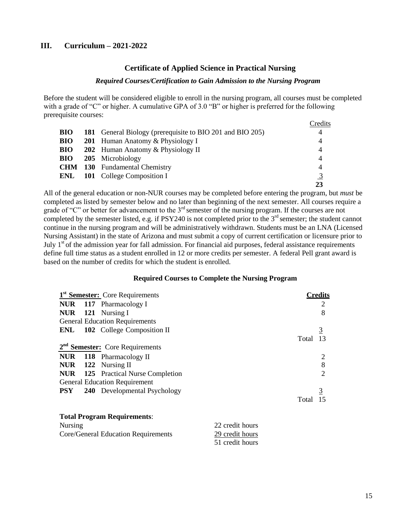#### **III. Curriculum – 2021-2022**

#### **Certificate of Applied Science in Practical Nursing**

#### *Required Courses/Certification to Gain Admission to the Nursing Program*

Before the student will be considered eligible to enroll in the nursing program, all courses must be completed with a grade of "C" or higher. A cumulative GPA of 3.0 "B" or higher is preferred for the following prerequisite courses:  $\sim$  d:

|            |                                                           | Credits        |
|------------|-----------------------------------------------------------|----------------|
| <b>BIO</b> | 181 General Biology (prerequisite to BIO 201 and BIO 205) | $\overline{4}$ |
| <b>BIO</b> | <b>201</b> Human Anatomy & Physiology I                   | 4              |
| <b>BIO</b> | 202 Human Anatomy & Physiology II                         | $\overline{4}$ |
| <b>BIO</b> | 205 Microbiology                                          | 4              |
|            | <b>CHM</b> 130 Fundamental Chemistry                      | 4              |
|            | <b>ENL</b> 101 College Composition I                      | $\overline{3}$ |
|            |                                                           | 23             |

All of the general education or non-NUR courses may be completed before entering the program, but *must* be completed as listed by semester below and no later than beginning of the next semester. All courses require a grade of "C" or better for advancement to the 3<sup>rd</sup> semester of the nursing program. If the courses are not completed by the semester listed, e.g. if PSY240 is not completed prior to the  $3<sup>rd</sup>$  semester; the student cannot continue in the nursing program and will be administratively withdrawn. Students must be an LNA (Licensed Nursing Assistant) in the state of Arizona and must submit a copy of current certification or licensure prior to July  $1<sup>st</sup>$  of the admission year for fall admission. For financial aid purposes, federal assistance requirements define full time status as a student enrolled in 12 or more credits per semester. A federal Pell grant award is based on the number of credits for which the student is enrolled.

#### **Required Courses to Complete the Nursing Program**

|            | 1 <sup>st</sup> Semester: Core Requirements |                 |       | Credits        |
|------------|---------------------------------------------|-----------------|-------|----------------|
|            | <b>NUR</b> 117 Pharmacology I               |                 |       |                |
|            | NUR 121 Nursing I                           |                 |       | 8              |
|            | <b>General Education Requirements</b>       |                 |       |                |
| ENL        | <b>102</b> College Composition II           |                 |       | <u>3</u>       |
|            |                                             |                 | Total |                |
|            | $2nd$ Semester: Core Requirements           |                 |       |                |
|            | NUR 118 Pharmacology II                     |                 |       |                |
|            | <b>NUR</b> 122 Nursing II                   |                 |       | 8              |
|            | <b>NUR</b> 125 Practical Nurse Completion   |                 |       | $\overline{2}$ |
|            | <b>General Education Requirement</b>        |                 |       |                |
| <b>PSY</b> | <b>240</b> Developmental Psychology         |                 |       | <u>3</u>       |
|            |                                             |                 | Total |                |
|            | <b>Total Program Requirements:</b>          |                 |       |                |
| Nursing    |                                             | 22 credit hours |       |                |

| $1$ and $5\text{m/s}$               | $22$ create from $3$ |
|-------------------------------------|----------------------|
| Core/General Education Requirements | 29 credit hours      |
|                                     | 51 credit hours      |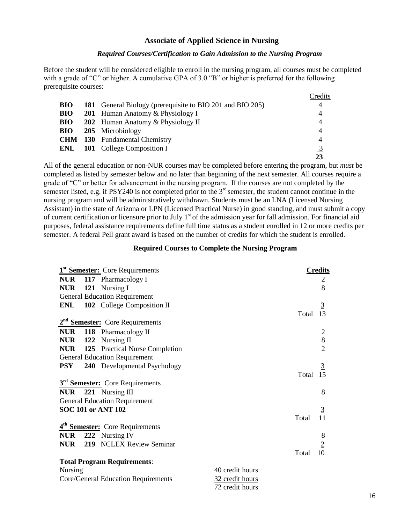#### **Associate of Applied Science in Nursing**

#### *Required Courses/Certification to Gain Admission to the Nursing Program*

Before the student will be considered eligible to enroll in the nursing program, all courses must be completed with a grade of "C" or higher. A cumulative GPA of 3.0 "B" or higher is preferred for the following prerequisite courses:

|            |                                                           | Credits        |
|------------|-----------------------------------------------------------|----------------|
| <b>BIO</b> | 181 General Biology (prerequisite to BIO 201 and BIO 205) | 4              |
| <b>BIO</b> | 201 Human Anatomy & Physiology I                          | 4              |
| <b>BIO</b> | 202 Human Anatomy & Physiology II                         | $\overline{4}$ |
| <b>BIO</b> | 205 Microbiology                                          | $\overline{4}$ |
|            | <b>CHM</b> 130 Fundamental Chemistry                      | 4              |
| ENL        | <b>101</b> College Composition I                          | 3              |
|            |                                                           | 23             |

All of the general education or non-NUR courses may be completed before entering the program, but *must* be completed as listed by semester below and no later than beginning of the next semester. All courses require a grade of "C" or better for advancement in the nursing program. If the courses are not completed by the semester listed, e.g. if PSY240 is not completed prior to the  $3<sup>rd</sup>$  semester, the student cannot continue in the nursing program and will be administratively withdrawn. Students must be an LNA (Licensed Nursing Assistant) in the state of Arizona or LPN (Licensed Practical Nurse) in good standing, and must submit a copy of current certification or licensure prior to July  $1<sup>st</sup>$  of the admission year for fall admission. For financial aid purposes, federal assistance requirements define full time status as a student enrolled in 12 or more credits per semester. A federal Pell grant award is based on the number of credits for which the student is enrolled.

#### **Required Courses to Complete the Nursing Program**

|                | 1 <sup>st</sup> Semester: Core Requirements |                 |       | <b>Credits</b> |
|----------------|---------------------------------------------|-----------------|-------|----------------|
|                | <b>NUR</b> 117 Pharmacology I               |                 |       | 2              |
|                | NUR 121 Nursing I                           |                 |       | 8              |
|                | <b>General Education Requirement</b>        |                 |       |                |
|                | <b>ENL</b> 102 College Composition II       |                 |       | $\overline{3}$ |
|                |                                             |                 | Total | 13             |
|                | 2 <sup>nd</sup> Semester: Core Requirements |                 |       |                |
|                | NUR 118 Pharmacology II                     |                 |       | $\overline{2}$ |
|                | NUR 122 Nursing II                          |                 |       | 8              |
|                | <b>NUR</b> 125 Practical Nurse Completion   |                 |       | $\overline{2}$ |
|                | <b>General Education Requirement</b>        |                 |       |                |
| <b>PSY</b>     | 240 Developmental Psychology                |                 |       | <u>3</u>       |
|                |                                             |                 | Total | 15             |
|                | 3 <sup>rd</sup> Semester: Core Requirements |                 |       |                |
|                | NUR 221 Nursing III                         |                 |       | 8              |
|                | <b>General Education Requirement</b>        |                 |       |                |
|                | <b>SOC 101 or ANT 102</b>                   |                 |       | $\overline{3}$ |
|                |                                             |                 | Total | 11             |
|                | 4 <sup>th</sup> Semester: Core Requirements |                 |       |                |
|                | NUR 222 Nursing IV                          |                 |       | 8              |
|                | <b>NUR</b> 219 NCLEX Review Seminar         |                 |       | $\overline{2}$ |
|                |                                             |                 | Total | 10             |
|                | <b>Total Program Requirements:</b>          |                 |       |                |
| <b>Nursing</b> |                                             | 40 credit hours |       |                |
|                | Core/General Education Requirements         | 32 credit hours |       |                |
|                |                                             | 72 credit hours |       |                |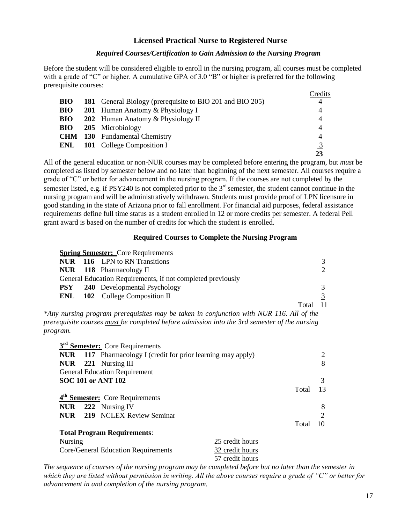#### **Licensed Practical Nurse to Registered Nurse**

#### *Required Courses/Certification to Gain Admission to the Nursing Program*

Before the student will be considered eligible to enroll in the nursing program, all courses must be completed with a grade of "C" or higher. A cumulative GPA of 3.0 "B" or higher is preferred for the following prerequisite courses:  $\sim$   $\mathbf{r}$ .

|            |                                                           | Credits        |
|------------|-----------------------------------------------------------|----------------|
| <b>BIO</b> | 181 General Biology (prerequisite to BIO 201 and BIO 205) |                |
| <b>BIO</b> | <b>201</b> Human Anatomy & Physiology I                   | 4              |
| <b>BIO</b> | 202 Human Anatomy & Physiology II                         | $\overline{4}$ |
| <b>BIO</b> | 205 Microbiology                                          | $\overline{4}$ |
|            | <b>CHM</b> 130 Fundamental Chemistry                      | $\overline{4}$ |
| ENL        | <b>101</b> College Composition I                          | 3              |
|            |                                                           |                |

All of the general education or non-NUR courses may be completed before entering the program, but *must* be completed as listed by semester below and no later than beginning of the next semester. All courses require a grade of "C" or better for advancement in the nursing program*.* If the courses are not completed by the semester listed, e.g. if PSY240 is not completed prior to the  $3<sup>rd</sup>$  semester, the student cannot continue in the nursing program and will be administratively withdrawn. Students must provide proof of LPN licensure in good standing in the state of Arizona prior to fall enrollment. For financial aid purposes, federal assistance requirements define full time status as a student enrolled in 12 or more credits per semester. A federal Pell grant award is based on the number of credits for which the student is enrolled.

#### **Required Courses to Complete the Nursing Program**

|     | <b>Spring Semester:</b> Core Requirements                   |       |                             |
|-----|-------------------------------------------------------------|-------|-----------------------------|
|     | <b>NUR</b> 116 LPN to RN Transitions                        |       | 3                           |
|     | NUR 118 Pharmacology II                                     |       | $\mathcal{D}_{\mathcal{L}}$ |
|     | General Education Requirements, if not completed previously |       |                             |
|     | <b>PSY</b> 240 Developmental Psychology                     |       | 3                           |
| ENL | <b>102</b> College Composition II                           |       |                             |
|     |                                                             | Total | -11                         |

*\*Any nursing program prerequisites may be taken in conjunction with NUR 116. All of the prerequisite courses must be completed before admission into the 3rd semester of the nursing program.*

|         | 3 <sup>rd</sup> Semester: Core Requirements                         |                 |       |                |
|---------|---------------------------------------------------------------------|-----------------|-------|----------------|
|         | <b>NUR</b> 117 Pharmacology I (credit for prior learning may apply) |                 |       | 2              |
|         | $NUR$ 221 Nursing III                                               |                 |       | 8              |
|         | <b>General Education Requirement</b>                                |                 |       |                |
|         | <b>SOC 101 or ANT 102</b>                                           |                 |       | $\overline{3}$ |
|         |                                                                     |                 | Total | 13             |
|         | 4 <sup>th</sup> Semester: Core Requirements                         |                 |       |                |
|         | NUR 222 Nursing IV                                                  |                 |       | 8              |
|         | <b>NUR</b> 219 NCLEX Review Seminar                                 |                 |       | $\overline{2}$ |
|         |                                                                     |                 | Total |                |
|         | <b>Total Program Requirements:</b>                                  |                 |       |                |
| Nursing |                                                                     | 25 credit hours |       |                |
|         | Core/General Education Requirements                                 | 32 credit hours |       |                |
|         |                                                                     | 57 credit hours |       |                |

*The sequence of courses of the nursing program may be completed before but no later than the semester in which they are listed without permission in writing. All the above courses require a grade of "C" or better for advancement in and completion of the nursing program.*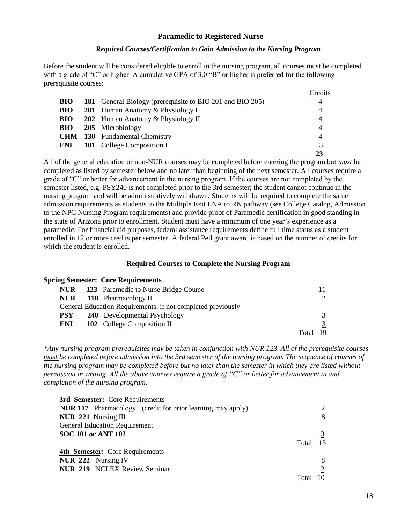#### **Paramedic to Registered Nurse**

#### *Required Courses/Certification to Gain Admission to the Nursing Program*

Before the student will be considered eligible to enroll in the nursing program, all courses must be completed with a grade of "C" or higher. A cumulative GPA of 3.0 "B" or higher is preferred for the following prerequisite courses:

|            |                                                           | Credits        |
|------------|-----------------------------------------------------------|----------------|
| <b>BIO</b> | 181 General Biology (prerequisite to BIO 201 and BIO 205) | 4              |
| <b>BIO</b> | <b>201</b> Human Anatomy & Physiology I                   | $\overline{4}$ |
| <b>BIO</b> | 202 Human Anatomy & Physiology II                         | $\overline{4}$ |
| <b>BIO</b> | 205 Microbiology                                          | 4              |
|            | <b>CHM</b> 130 Fundamental Chemistry                      | 4              |
| ENL        | <b>101</b> College Composition I                          | 3              |
|            |                                                           |                |

All of the general education or non-NUR courses may be completed before entering the program but *must* be completed as listed by semester below and no later than beginning of the next semester. All courses require a grade of "C" or better for advancement in the nursing program. If the courses are not completed by the semester listed, e.g. PSY240 is not completed prior to the 3rd semester; the student cannot continue in the nursing program and will be administratively withdrawn. Students will be required to complete the same admission requirements as students to the Multiple Exit LNA to RN pathway (see College Catalog, Admission to the NPC Nursing Program requirements) and provide proof of Paramedic certification in good standing in the state of Arizona prior to enrollment. Student must have a minimum of one year's experience as a paramedic. For financial aid purposes, federal assistance requirements define full time status as a student enrolled in 12 or more credits per semester. A federal Pell grant award is based on the number of credits for which the student is enrolled.

#### **Required Courses to Complete the Nursing Program**

#### **Spring Semester: Core Requirements**

|            | <b>NUR</b> 123 Paramedic to Nurse Bridge Course             |       |                       |
|------------|-------------------------------------------------------------|-------|-----------------------|
|            | <b>NUR</b> 118 Pharmacology II                              |       | $\mathcal{D}_{\cdot}$ |
|            | General Education Requirements, if not completed previously |       |                       |
| <b>PSY</b> | 240 Developmental Psychology                                |       | 3                     |
| ENL        | <b>102</b> College Composition II                           |       |                       |
|            |                                                             | Total | 19                    |

*\*Any nursing program prerequisites may be taken in conjunction with NUR 123. All of the prerequisite courses must be completed before admission into the 3rd semester of the nursing program. The sequence of courses of the nursing program may be completed before but no later than the semester in which they are listed without permission in writing. All the above courses require a grade of "C" or better for advancement in and completion of the nursing program.*

| 3rd Semester: Core Requirements                                     |       |  |
|---------------------------------------------------------------------|-------|--|
| <b>NUR 117</b> Pharmacology I (credit for prior learning may apply) |       |  |
| NUR 221 Nursing III                                                 |       |  |
| <b>General Education Requirement</b>                                |       |  |
| <b>SOC 101 or ANT 102</b>                                           |       |  |
|                                                                     | Total |  |
| <b>4th Semester:</b> Core Requirements                              |       |  |
| NUR 222 Nursing IV                                                  |       |  |
| <b>NUR 219 NCLEX Review Seminar</b>                                 |       |  |
|                                                                     |       |  |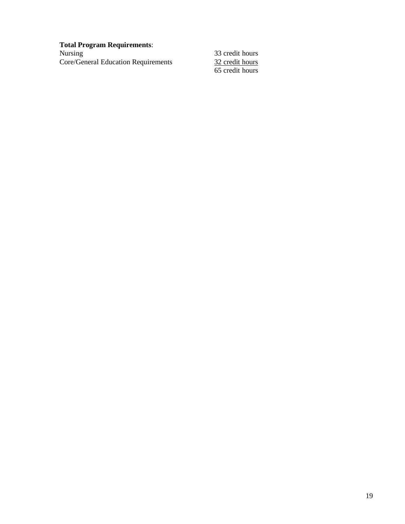# **Total Program Requirements**:

Core/General Education Requirements

33 credit hours 65 credit hours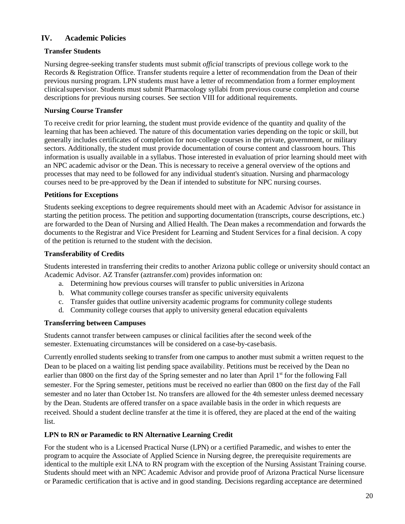#### **IV. Academic Policies**

#### **Transfer Students**

Nursing degree-seeking transfer students must submit *official* transcripts of previous college work to the Records & Registration Office. Transfer students require a letter of recommendation from the Dean of their previous nursing program. LPN students must have a letter of recommendation from a former employment clinicalsupervisor. Students must submit Pharmacology syllabi from previous course completion and course descriptions for previous nursing courses. See section VIII for additional requirements.

#### **Nursing Course Transfer**

To receive credit for prior learning, the student must provide evidence of the quantity and quality of the learning that has been achieved. The nature of this documentation varies depending on the topic or skill, but generally includes certificates of completion for non-college courses in the private, government, or military sectors. Additionally, the student must provide documentation of course content and classroom hours. This information is usually available in a syllabus. Those interested in evaluation of prior learning should meet with an NPC academic advisor or the Dean. This is necessary to receive a general overview of the options and processes that may need to be followed for any individual student's situation. Nursing and pharmacology courses need to be pre-approved by the Dean if intended to substitute for NPC nursing courses.

#### **Petitions for Exceptions**

Students seeking exceptions to degree requirements should meet with an Academic Advisor for assistance in starting the petition process. The petition and supporting documentation (transcripts, course descriptions, etc.) are forwarded to the Dean of Nursing and Allied Health. The Dean makes a recommendation and forwards the documents to the Registrar and Vice President for Learning and Student Services for a final decision. A copy of the petition is returned to the student with the decision.

#### **Transferability of Credits**

Students interested in transferring their credits to another Arizona public college or university should contact an Academic Advisor. AZ Transfer (aztransfer.com) provides information on:

- a. Determining how previous courses will transfer to public universities inArizona
- b. What community college courses transfer as specific university equivalents
- c. Transfer guides that outline university academic programs for community college students
- d. Community college courses that apply to university general education equivalents

#### **Transferring between Campuses**

Students cannot transfer between campuses or clinical facilities after the second week ofthe semester. Extenuating circumstances will be considered on a case-by-casebasis.

Currently enrolled students seeking to transfer from one campus to another must submit a written request to the Dean to be placed on a waiting list pending space availability. Petitions must be received by the Dean no earlier than 0800 on the first day of the Spring semester and no later than April 1<sup>st</sup> for the following Fall semester. For the Spring semester, petitions must be received no earlier than 0800 on the first day of the Fall semester and no later than October1st. No transfers are allowed for the 4th semester unless deemed necessary by the Dean. Students are offered transfer on a space available basis in the order in which requests are received. Should a student decline transfer at the time it is offered, they are placed at the end of the waiting list.

#### **LPN to RN or Paramedic to RN Alternative Learning Credit**

For the student who is a Licensed Practical Nurse (LPN) or a certified Paramedic, and wishes to enter the program to acquire the Associate of Applied Science in Nursing degree, the prerequisite requirements are identical to the multiple exit LNA to RN program with the exception of the Nursing Assistant Training course. Students should meet with an NPC Academic Advisor and provide proof of Arizona Practical Nurse licensure or Paramedic certification that is active and in good standing. Decisions regarding acceptance are determined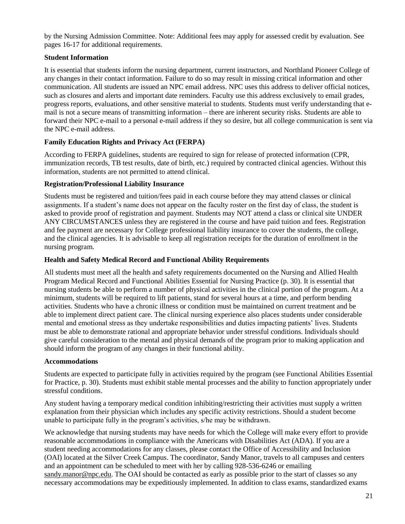by the Nursing Admission Committee. Note: Additional fees may apply for assessed credit by evaluation. See pages 16-17 for additional requirements.

#### **Student Information**

It is essential that students inform the nursing department, current instructors, and Northland Pioneer College of any changes in their contact information. Failure to do so may result in missing critical information and other communication. All students are issued an NPC email address. NPC uses this address to deliver official notices, such as closures and alerts and important date reminders. Faculty use this address exclusively to email grades, progress reports, evaluations, and other sensitive material to students. Students must verify understanding that email is not a secure means of transmitting information – there are inherent security risks. Students are able to forward their NPC e-mail to a personal e-mail address if they so desire, but all college communication is sent via the NPC e-mail address.

#### **Family Education Rights and Privacy Act (FERPA)**

According to FERPA guidelines, students are required to sign for release of protected information (CPR, immunization records, TB test results, date of birth, etc.) required by contracted clinical agencies. Without this information, students are not permitted to attend clinical.

#### **Registration/Professional Liability Insurance**

Students must be registered and tuition/fees paid in each course before they may attend classes or clinical assignments. If a student's name does not appear on the faculty roster on the first day of class, the student is asked to provide proof of registration and payment. Students may NOT attend a class or clinical site UNDER ANY CIRCUMSTANCES unless they are registered in the course and have paid tuition and fees. Registration and fee payment are necessary for College professional liability insurance to cover the students, the college, and the clinical agencies. It is advisable to keep all registration receipts for the duration of enrollment in the nursing program.

#### **Health and Safety Medical Record and Functional Ability Requirements**

All students must meet all the health and safety requirements documented on the Nursing and Allied Health Program Medical Record and Functional Abilities Essential for Nursing Practice (p. 30). It is essential that nursing students be able to perform a number of physical activities in the clinical portion of the program. At a minimum, students will be required to lift patients, stand for several hours at a time, and perform bending activities. Students who have a chronic illness or condition must be maintained on current treatment and be able to implement direct patient care. The clinical nursing experience also places students under considerable mental and emotional stress as they undertake responsibilities and duties impacting patients' lives. Students must be able to demonstrate rational and appropriate behavior under stressful conditions. Individuals should give careful consideration to the mental and physical demands of the program prior to making application and should inform the program of any changes in their functional ability.

#### **Accommodations**

Students are expected to participate fully in activities required by the program (see Functional Abilities Essential for Practice, p. 30). Students must exhibit stable mental processes and the ability to function appropriately under stressful conditions.

Any student having a temporary medical condition inhibiting/restricting their activities must supply a written explanation from their physician which includes any specific activity restrictions. Should a student become unable to participate fully in the program's activities, s/he may be withdrawn.

We acknowledge that nursing students may have needs for which the College will make every effort to provide reasonable accommodations in compliance with the Americans with Disabilities Act (ADA). If you are a student needing accommodations for any classes, please contact the Office of Accessibility and Inclusion (OAI) located at the Silver Creek Campus. The coordinator, Sandy Manor, travels to all campuses and centers and an appointment can be scheduled to meet with her by calling 928-536-6246 or emailing [sandy.manor@npc.edu.](mailto:sandy.manor@npc.edu) The OAI should be contacted as early as possible prior to the start of classes so any necessary accommodations may be expeditiously implemented. In addition to class exams, standardized exams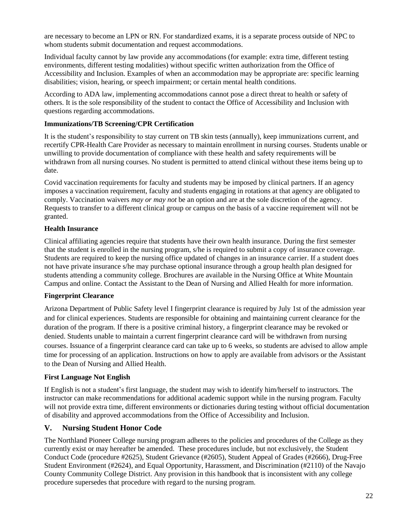are necessary to become an LPN or RN. For standardized exams, it is a separate process outside of NPC to whom students submit documentation and request accommodations.

Individual faculty cannot by law provide any accommodations (for example: extra time, different testing environments, different testing modalities) without specific written authorization from the Office of Accessibility and Inclusion. Examples of when an accommodation may be appropriate are: specific learning disabilities; vision, hearing, or speech impairment; or certain mental health conditions.

According to ADA law, implementing accommodations cannot pose a direct threat to health or safety of others. It is the sole responsibility of the student to contact the Office of Accessibility and Inclusion with questions regarding accommodations.

#### **Immunizations/TB Screening/CPR Certification**

It is the student's responsibility to stay current on TB skin tests (annually), keep immunizations current, and recertify CPR-Health Care Provider as necessary to maintain enrollment in nursing courses. Students unable or unwilling to provide documentation of compliance with these health and safety requirements will be withdrawn from all nursing courses. No student is permitted to attend clinical without these items being up to date.

Covid vaccination requirements for faculty and students may be imposed by clinical partners. If an agency imposes a vaccination requirement, faculty and students engaging in rotations at that agency are obligated to comply. Vaccination waivers *may or may not* be an option and are at the sole discretion of the agency. Requests to transfer to a different clinical group or campus on the basis of a vaccine requirement will not be granted.

#### **Health Insurance**

Clinical affiliating agencies require that students have their own health insurance. During the first semester that the student is enrolled in the nursing program, s/he is required to submit a copy of insurance coverage. Students are required to keep the nursing office updated of changes in an insurance carrier. If a student does not have private insurance s/he may purchase optional insurance through a group health plan designed for students attending a community college. Brochures are available in the Nursing Office at White Mountain Campus and online. Contact the Assistant to the Dean of Nursing and Allied Health for more information.

#### **Fingerprint Clearance**

Arizona Department of Public Safety level I fingerprint clearance is required by July 1st of the admission year and for clinical experiences. Students are responsible for obtaining and maintaining current clearance for the duration of the program. If there is a positive criminal history, a fingerprint clearance may be revoked or denied. Students unable to maintain a current fingerprint clearance card will be withdrawn from nursing courses. Issuance of a fingerprint clearance card can take up to 6 weeks, so students are advised to allow ample time for processing of an application. Instructions on how to apply are available from advisors or the Assistant to the Dean of Nursing and Allied Health.

#### **First Language Not English**

If English is not a student's first language, the student may wish to identify him/herself to instructors. The instructor can make recommendations for additional academic support while in the nursing program. Faculty will not provide extra time, different environments or dictionaries during testing without official documentation of disability and approved accommodations from the Office of Accessibility and Inclusion.

#### **V. Nursing Student Honor Code**

The Northland Pioneer College nursing program adheres to the policies and procedures of the College as they currently exist or may hereafter be amended. These procedures include, but not exclusively, the Student Conduct Code (procedure #2625), Student Grievance (#2605), Student Appeal of Grades (#2666), Drug-Free Student Environment (#2624), and Equal Opportunity, Harassment, and Discrimination (#2110) of the Navajo County Community College District. Any provision in this handbook that is inconsistent with any college procedure supersedes that procedure with regard to the nursing program.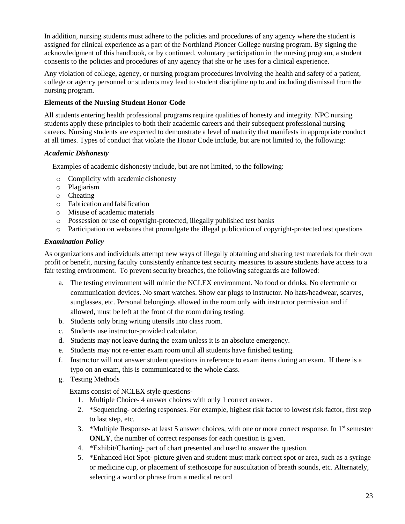In addition, nursing students must adhere to the policies and procedures of any agency where the student is assigned for clinical experience as a part of the Northland Pioneer College nursing program. By signing the acknowledgment of this handbook, or by continued, voluntary participation in the nursing program, a student consents to the policies and procedures of any agency that she or he uses for a clinical experience.

Any violation of college, agency, or nursing program procedures involving the health and safety of a patient, college or agency personnel or students may lead to student discipline up to and including dismissal from the nursing program.

#### **Elements of the Nursing Student Honor Code**

All students entering health professional programs require qualities of honesty and integrity. NPC nursing students apply these principles to both their academic careers and their subsequent professional nursing careers. Nursing students are expected to demonstrate a level of maturity that manifests in appropriate conduct at all times. Types of conduct that violate the Honor Code include, but are not limited to, the following:

#### *Academic Dishonesty*

Examples of academic dishonesty include, but are not limited, to the following:

- o Complicity with academic dishonesty
- o Plagiarism
- o Cheating
- o Fabrication andfalsification
- o Misuse of academic materials
- o Possession or use of copyright-protected, illegally published test banks
- o Participation on websites that promulgate the illegal publication of copyright-protected test questions

#### *Examination Policy*

As organizations and individuals attempt new ways of illegally obtaining and sharing test materials for their own profit or benefit, nursing faculty consistently enhance test security measures to assure students have access to a fair testing environment. To prevent security breaches, the following safeguards are followed:

- a. The testing environment will mimic the NCLEX environment. No food or drinks. No electronic or communication devices. No smart watches. Show ear plugs to instructor. No hats/headwear, scarves, sunglasses, etc. Personal belongings allowed in the room only with instructor permission and if allowed, must be left at the front of the room during testing.
- b. Students only bring writing utensils into class room.
- c. Students use instructor-provided calculator.
- d. Students may not leave during the exam unless it is an absolute emergency.
- e. Students may not re-enter exam room until all students have finished testing.
- f. Instructor will not answer student questions in reference to exam items during an exam. If there is a typo on an exam, this is communicated to the whole class.
- g. Testing Methods

Exams consist of NCLEX style questions-

- 1. Multiple Choice- 4 answer choices with only 1 correct answer.
- 2. \*Sequencing- ordering responses. For example, highest risk factor to lowest risk factor, first step to last step, etc.
- 3. \*Multiple Response- at least 5 answer choices, with one or more correct response. In  $1<sup>st</sup>$  semester **ONLY**, the number of correct responses for each question is given.
- 4. \*Exhibit/Charting- part of chart presented and used to answer the question.
- 5. \*Enhanced Hot Spot- picture given and student must mark correct spot or area, such as a syringe or medicine cup, or placement of stethoscope for auscultation of breath sounds, etc. Alternately, selecting a word or phrase from a medical record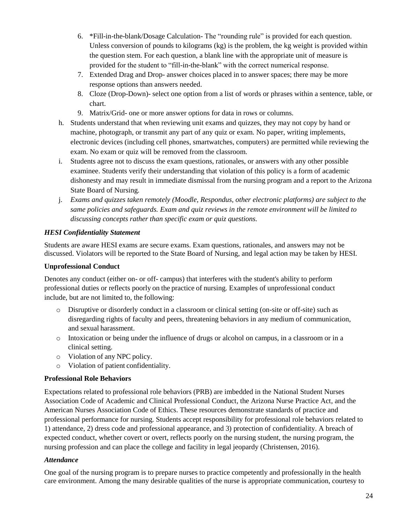- 6. \*Fill-in-the-blank/Dosage Calculation- The "rounding rule" is provided for each question. Unless conversion of pounds to kilograms  $(kg)$  is the problem, the kg weight is provided within the question stem. For each question, a blank line with the appropriate unit of measure is provided for the student to "fill-in-the-blank" with the correct numerical response.
- 7. Extended Drag and Drop- answer choices placed in to answer spaces; there may be more response options than answers needed.
- 8. Cloze (Drop-Down)- select one option from a list of words or phrases within a sentence, table, or chart.
- 9. Matrix/Grid- one or more answer options for data in rows or columns.
- h. Students understand that when reviewing unit exams and quizzes, they may not copy by hand or machine, photograph, or transmit any part of any quiz or exam. No paper, writing implements, electronic devices (including cell phones, smartwatches, computers) are permitted while reviewing the exam. No exam or quiz will be removed from the classroom.
- i. Students agree not to discuss the exam questions, rationales, or answers with any other possible examinee. Students verify their understanding that violation of this policy is a form of academic dishonesty and may result in immediate dismissal from the nursing program and a report to the Arizona State Board of Nursing.
- j. *Exams and quizzes taken remotely (Moodle, Respondus, other electronic platforms) are subject to the same policies and safeguards. Exam and quiz reviews in the remote environment will be limited to discussing concepts rather than specific exam or quiz questions.*

#### *HESI Confidentiality Statement*

Students are aware HESI exams are secure exams. Exam questions, rationales, and answers may not be discussed. Violators will be reported to the State Board of Nursing, and legal action may be taken by HESI.

#### **Unprofessional Conduct**

Denotes any conduct (either on- or off- campus) that interferes with the student's ability to perform professional duties or reflects poorly on the practice of nursing. Examples of unprofessional conduct include, but are not limited to, the following:

- o Disruptive or disorderly conduct in a classroom or clinical setting (on-site or off-site) such as disregarding rights of faculty and peers, threatening behaviors in any medium of communication, and sexual harassment.
- o Intoxication or being under the influence of drugs or alcohol on campus, in a classroom or in a clinical setting.
- o Violation of any NPC policy.
- o Violation of patient confidentiality.

#### **Professional Role Behaviors**

Expectations related to professional role behaviors (PRB) are imbedded in the [National Student Nurses](https://www.nsna.org/nsna-code-of-ethics.html)  [Association Code of Academic and Clinical Professional Conduct,](https://www.nsna.org/nsna-code-of-ethics.html) the [Arizona Nurse Practice Act,](https://www.azbn.gov/education/nurse-practice-act) and the [American Nurses Association Code of Ethics.](https://www.nursingworld.org/coe-view-only) These resources demonstrate standards of practice and professional performance for nursing. Students accept responsibility for professional role behaviors related to 1) attendance, 2) dress code and professional appearance, and 3) protection of confidentiality. A breach of expected conduct, whether covert or overt, reflects poorly on the nursing student, the nursing program, the nursing profession and can place the college and facility in legal jeopardy (Christensen, 2016).

#### *Attendance*

One goal of the nursing program is to prepare nurses to practice competently and professionally in the health care environment. Among the many desirable qualities of the nurse is appropriate communication, courtesy to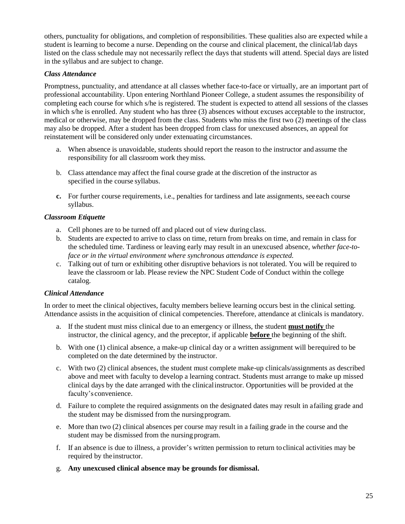others, punctuality for obligations, and completion of responsibilities. These qualities also are expected while a student is learning to become a nurse. Depending on the course and clinical placement, the clinical/lab days listed on the class schedule may not necessarily reflect the days that students will attend. Special days are listed in the syllabus and are subject to change.

#### *Class Attendance*

Promptness, punctuality, and attendance at all classes whether face-to-face or virtually, are an important part of professional accountability. Upon entering Northland Pioneer College, a student assumes the responsibility of completing each course for which s/he is registered. The student is expected to attend all sessions of the classes in which s/he is enrolled. Any student who has three (3) absences without excuses acceptable to the instructor, medical or otherwise, may be dropped from the class. Students who miss the first two (2) meetings of the class may also be dropped. After a student has been dropped from class for unexcused absences, an appeal for reinstatement will be considered only under extenuating circumstances.

- a. When absence is unavoidable, students should report the reason to the instructor and assume the responsibility for all classroom work theymiss.
- b. Class attendance may affect the final course grade at the discretion of the instructor as specified in the course syllabus.
- **c.** For further course requirements, i.e., penalties for tardiness and late assignments, seeeach course syllabus.

#### *Classroom Etiquette*

- a. Cell phones are to be turned off and placed out of view during class.
- b. Students are expected to arrive to class on time, return from breaks on time, and remain in class for the scheduled time. Tardiness or leaving early may result in an unexcused absence, *whether face-toface or in the virtual environment where synchronous attendance is expected.*
- c. Talking out of turn or exhibiting other disruptive behaviors is not tolerated. You will be required to leave the classroom or lab. Please review the NPC Student Code of Conduct within the college catalog.

#### *Clinical Attendance*

In order to meet the clinical objectives, faculty members believe learning occurs best in the clinical setting. Attendance assists in the acquisition of clinical competencies. Therefore, attendance at clinicals is mandatory.

- a. If the student must miss clinical due to an emergency or illness, the student **must notify** the instructor, the clinical agency, and the preceptor, if applicable **before** the beginning of the shift.
- b. With one (1) clinical absence, a make-up clinical day or a written assignment will berequired to be completed on the date determined by the instructor.
- c. With two (2) clinical absences, the student must complete make-up clinicals/assignments as described above and meet with faculty to develop a learning contract. Students must arrange to make up missed clinical days by the date arranged with the clinicalinstructor. Opportunities will be provided at the faculty's convenience.
- d. Failure to complete the required assignments on the designated dates may result in afailing grade and the student may be dismissed from the nursingprogram.
- e. More than two (2) clinical absences per course may result in a failing grade in the course and the student may be dismissed from the nursing program.
- f. If an absence is due to illness, a provider's written permission to return toclinical activities may be required by the instructor.
- g. **Any unexcused clinical absence may be grounds for dismissal.**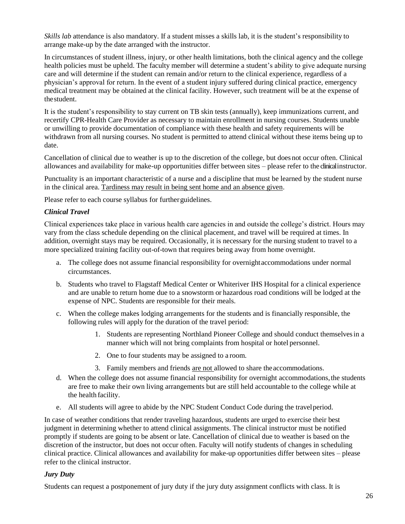*Skills lab* attendance is also mandatory. If a student misses a skills lab, it is the student's responsibility to arrange make-up by the date arranged with the instructor.

In circumstances of student illness, injury, or other health limitations, both the clinical agency and the college health policies must be upheld. The faculty member will determine a student's ability to give adequate nursing care and will determine if the student can remain and/or return to the clinical experience, regardless of a physician's approval for return. In the event of a student injury suffered during clinical practice, emergency medical treatment may be obtained at the clinical facility. However, such treatment will be at the expense of thestudent.

It is the student's responsibility to stay current on TB skin tests (annually), keep immunizations current, and recertify CPR-Health Care Provider as necessary to maintain enrollment in nursing courses. Students unable or unwilling to provide documentation of compliance with these health and safety requirements will be withdrawn from all nursing courses. No student is permitted to attend clinical without these items being up to date.

Cancellation of clinical due to weather is up to the discretion of the college, but does not occur often. Clinical allowances and availability for make-up opportunities differ between sites – please refer to the clinical instructor.

Punctuality is an important characteristic of a nurse and a discipline that must be learned by the student nurse in the clinical area. Tardiness may result in being sent home and an absence given.

Please refer to each course syllabus for furtherguidelines.

#### *Clinical Travel*

Clinical experiences take place in various health care agencies in and outside the college's district. Hours may vary from the class schedule depending on the clinical placement, and travel will be required at times. In addition, overnight stays may be required. Occasionally, it is necessary for the nursing student to travel to a more specialized training facility out-of-town that requires being away from home overnight.

- a. The college does not assume financial responsibility for overnightaccommodations under normal circumstances.
- b. Students who travel to Flagstaff Medical Center or Whiteriver IHS Hospital for a clinical experience and are unable to return home due to a snowstorm or hazardous road conditions will be lodged at the expense of NPC. Students are responsible for their meals.
- c. When the college makes lodging arrangements for the students and is financially responsible, the following rules will apply for the duration of the travel period:
	- 1. Students are representing Northland Pioneer College and should conduct themselvesin a manner which will not bring complaints from hospital or hotel personnel.
	- 2. One to four students may be assigned to a room.
	- 3. Family members and friends are not allowed to share theaccommodations.
- d. When the college does not assume financial responsibility for overnight accommodations,the students are free to make their own living arrangements but are still held accountable to the college while at the health facility.
- e. All students will agree to abide by the NPC Student Conduct Code during the travelperiod.

In case of weather conditions that render traveling hazardous, students are urged to exercise their best judgment in determining whether to attend clinical assignments. The clinical instructor must be notified promptly if students are going to be absent or late. Cancellation of clinical due to weather is based on the discretion of the instructor, but does not occur often. Faculty will notify students of changes in scheduling clinical practice. Clinical allowances and availability for make-up opportunities differ between sites – please refer to the clinical instructor.

#### *Jury Duty*

Students can request a postponement of jury duty if the jury duty assignment conflicts with class. It is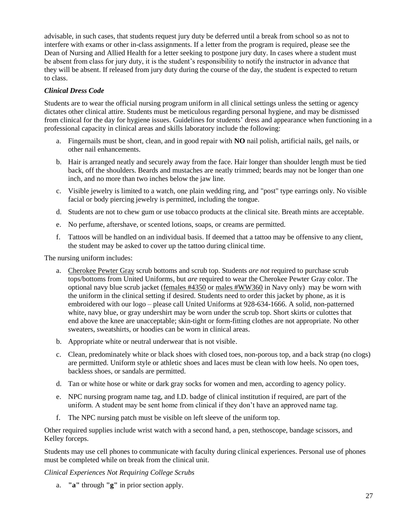advisable, in such cases, that students request jury duty be deferred until a break from school so as not to interfere with exams or other in-class assignments. If a letter from the program is required, please see the Dean of Nursing and Allied Health for a letter seeking to postpone jury duty. In cases where a student must be absent from class for jury duty, it is the student's responsibility to notify the instructor in advance that they will be absent. If released from jury duty during the course of the day, the student is expected to return to class.

#### *Clinical Dress Code*

Students are to wear the official nursing program uniform in all clinical settings unless the setting or agency dictates other clinical attire. Students must be meticulous regarding personal hygiene, and may be dismissed from clinical for the day for hygiene issues. Guidelines for students' dress and appearance when functioning in a professional capacity in clinical areas and skills laboratory include the following:

- a. Fingernails must be short, clean, and in good repair with **NO** nail polish, artificial nails, gel nails, or other nail enhancements.
- b. Hair is arranged neatly and securely away from the face. Hair longer than shoulder length must be tied back, off the shoulders. Beards and mustaches are neatly trimmed; beards may not be longer than one inch, and no more than two inches below the jaw line.
- c. Visible jewelry is limited to a watch, one plain wedding ring, and "post" type earrings only. No visible facial or body piercing jewelry is permitted, including the tongue.
- d. Students are not to chew gum or use tobacco products at the clinical site. Breath mints are acceptable.
- e. No perfume, aftershave, or scented lotions, soaps, or creams are permitted.
- f. Tattoos will be handled on an individual basis. If deemed that a tattoo may be offensive to any client, the student may be asked to cover up the tattoo during clinical time.

The nursing uniform includes:

- a. [Cherokee Pewter Gray](https://www.uniteduniforms-cherokee.com/product/31172/86706-PTWZ/dickies-eds-signature-v-neck-top-in-pewter) scrub bottoms and scrub top. Students *are not* required to purchase scrub tops/bottoms from United Uniforms, but *are* required to wear the Cherokee Pewter Gray color. The optional navy blue scrub jacket [\(females #4350](https://www.uniteduniforms-cherokee.com/product/10010/4350-NAVW/scrub-hq-cherokee-prints-snap-front-warm-up-jacket-in-navy) or males [#WW360](https://www.uniteduniforms-cherokee.com/product/34455/WW360-NAV/cherokee-workwear-workwear-ww-professionals-mens-snap-front-jacket-in-navy) in Navy only) may be worn with the uniform in the clinical setting if desired. Students need to order this jacket by phone, as it is embroidered with our logo – please call United Uniforms at 928-634-1666. A solid, non-patterned white, navy blue, or gray undershirt may be worn under the scrub top. Short skirts or culottes that end above the knee are unacceptable; skin-tight or form-fitting clothes are not appropriate. No other sweaters, sweatshirts, or hoodies can be worn in clinical areas.
- b. Appropriate white or neutral underwear that is not visible.
- c. Clean, predominately white or black shoes with closed toes, non-porous top, and a back strap (no clogs) are permitted. Uniform style or athletic shoes and laces must be clean with low heels. No open toes, backless shoes, or sandals are permitted.
- d. Tan or white hose or white or dark gray socks for women and men, according to agency policy.
- e. NPC nursing program name tag, and I.D. badge of clinical institution if required, are part of the uniform. A student may be sent home from clinical if they don't have an approved name tag.
- f. The NPC nursing patch must be visible on left sleeve of the uniform top.

Other required supplies include wrist watch with a second hand, a pen, stethoscope, bandage scissors, and Kelley forceps.

Students may use cell phones to communicate with faculty during clinical experiences. Personal use of phones must be completed while on break from the clinical unit.

*Clinical Experiences Not Requiring College Scrubs*

a. **"a"** through **"g"** in prior section apply.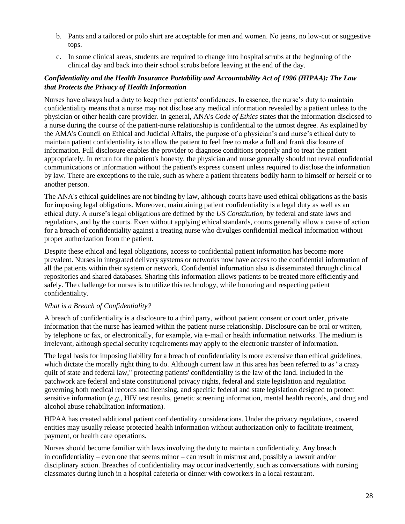- b. Pants and a tailored or polo shirt are acceptable for men and women. No jeans, no low-cut or suggestive tops.
- c. In some clinical areas, students are required to change into hospital scrubs at the beginning of the clinical day and back into their school scrubs before leaving at the end of the day.

#### *Confidentiality and the Health Insurance Portability and Accountability Act of 1996 (HIPAA): The Law that Protects the Privacy of Health Information*

Nurses have always had a duty to keep their patients' confidences. In essence, the nurse's duty to maintain confidentiality means that a nurse may not disclose any medical information revealed by a patient unless to the physician or other health care provider. In general, ANA's *[Code of Ethics](https://www.nursingworld.org/coe-view-only)* states that the information disclosed to a nurse during the course of the patient-nurse relationship is confidential to the utmost degree. As explained by the [AMA's Council on Ethical and Judicial Affairs,](https://www.ama-assn.org/councils/council-ethical-judicial-affairs) the purpose of a physician's and nurse's ethical duty to maintain patient confidentiality is to allow the patient to feel free to make a full and frank disclosure of information. Full disclosure enables the provider to diagnose conditions properly and to treat the patient appropriately. In return for the patient's honesty, the physician and nurse generally should not reveal confidential communications or information without the patient's express consent unless required to disclose the information by law. There are exceptions to the rule, such as where a patient threatens bodily harm to himself or herself or to another person.

The ANA's ethical guidelines are not binding by law, although courts have used ethical obligations as the basis for imposing legal obligations. Moreover, maintaining patient confidentiality is a legal duty as well as an ethical duty. A nurse's legal obligations are defined by the *US Constitution*, by federal and state laws and regulations, and by the courts. Even without applying ethical standards, courts generally allow a cause of action for a breach of confidentiality against a treating nurse who divulges confidential medical information without proper authorization from the patient.

Despite these ethical and legal obligations, access to confidential patient information has become more prevalent. Nurses in integrated delivery systems or networks now have access to the confidential information of all the patients within their system or network. Confidential information also is disseminated through clinical repositories and shared databases. Sharing this information allows patients to be treated more efficiently and safely. The challenge for nurses is to utilize this technology, while honoring and respecting patient confidentiality.

#### *What is a Breach of Confidentiality?*

A breach of confidentiality is a disclosure to a third party, without patient consent or court order, private information that the nurse has learned within the patient-nurse relationship. Disclosure can be oral or written, by telephone or fax, or electronically, for example, via e-mail or health information networks. The medium is irrelevant, although special security requirements may apply to the electronic transfer of information.

The legal basis for imposing liability for a breach of confidentiality is more extensive than ethical guidelines, which dictate the morally right thing to do. Although current law in this area has been referred to as "a crazy quilt of state and federal law," protecting patients' confidentiality is the law of the land. Included in the patchwork are federal and state constitutional privacy rights, federal and state legislation and regulation governing both medical records and licensing, and specific federal and state legislation designed to protect sensitive information (*e.g.*, HIV test results, genetic screening information, mental health records, and drug and alcohol abuse rehabilitation information).

HIPAA has created additional patient confidentiality considerations. Under the privacy regulations, covered entities may usually release protected health information without authorization only to facilitate treatment, payment, or health care operations.

Nurses should become familiar with laws involving the duty to maintain confidentiality. Any breach in confidentiality – even one that seems minor – can result in mistrust and, possibly a lawsuit and/or disciplinary action. Breaches of confidentiality may occur inadvertently, such as conversations with nursing classmates during lunch in a hospital cafeteria or dinner with coworkers in a local restaurant.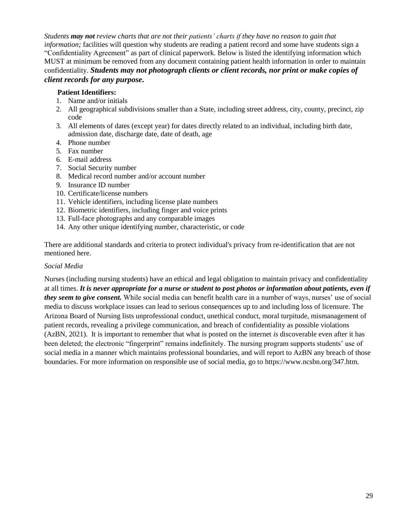*Students may not review charts that are not their patients' charts if they have no reason to gain that information;* facilities will question why students are reading a patient record and some have students sign a "Confidentiality Agreement" as part of clinical paperwork. Below is listed the identifying information which MUST at minimum be removed from any document containing patient health information in order to maintain confidentiality. *Students may not photograph clients or client records, nor print or make copies of client records for any purpose***.**

#### **Patient Identifiers:**

- 1. Name and/or initials
- 2. All geographical subdivisions smaller than a State, including street address, city, county, precinct, zip code
- 3. All elements of dates (except year) for dates directly related to an individual, including birth date, admission date, discharge date, date of death, age
- 4. Phone number
- 5. Fax number
- 6. E-mail address
- 7. Social Security number
- 8. Medical record number and/or account number
- 9. Insurance ID number
- 10. Certificate/license numbers
- 11. Vehicle identifiers, including license plate numbers
- 12. Biometric identifiers, including finger and voice prints
- 13. Full-face photographs and any comparable images
- 14. Any other unique identifying number, characteristic, or code

There are additional standards and criteria to protect individual's privacy from re-identification that are not mentioned here.

#### *Social Media*

Nurses (including nursing students) have an ethical and legal obligation to maintain privacy and confidentiality at all times. *It is never appropriate for a nurse or student to post photos or information about patients, even if they seem to give consent.* While social media can benefit health care in a number of ways, nurses' use of social media to discuss workplace issues can lead to serious consequences up to and including loss of licensure. The Arizona Board of Nursing lists unprofessional conduct, unethical conduct, moral turpitude, mismanagement of patient records, revealing a privilege communication, and breach of confidentiality as possible violations (AzBN, 2021). It is important to remember that what is posted on the internet *is* discoverable even after it has been deleted; the electronic "fingerprint" remains indefinitely. The nursing program supports students' use of social media in a manner which maintains professional boundaries, and will report to AzBN any breach of those boundaries. For more information on responsible use of social media, go to [https://www.ncsbn.org/347.htm.](https://www.ncsbn.org/347.htm)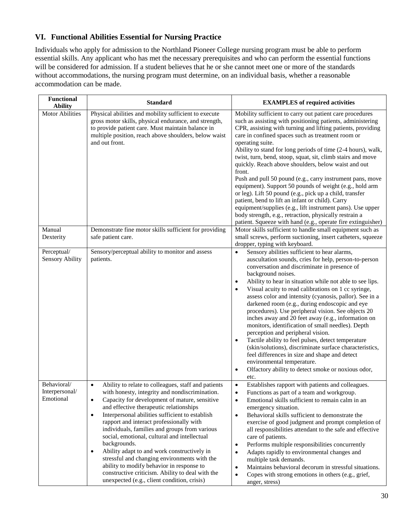### **VI. Functional Abilities Essential for Nursing Practice**

Individuals who apply for admission to the Northland Pioneer College nursing program must be able to perform essential skills. Any applicant who has met the necessary prerequisites and who can perform the essential functions will be considered for admission. If a student believes that he or she cannot meet one or more of the standards without accommodations, the nursing program must determine, on an individual basis, whether a reasonable accommodation can be made.

| <b>Functional</b><br><b>Ability</b>        | <b>Standard</b>                                                                                                                                                                                                                                                                                                                                                                                                                                                                                                                                                                                                                                                                                                      | <b>EXAMPLES</b> of required activities                                                                                                                                                                                                                                                                                                                                                                                                                                                                                                                                                                                                                                                                                                                                                                                                                                                                                              |
|--------------------------------------------|----------------------------------------------------------------------------------------------------------------------------------------------------------------------------------------------------------------------------------------------------------------------------------------------------------------------------------------------------------------------------------------------------------------------------------------------------------------------------------------------------------------------------------------------------------------------------------------------------------------------------------------------------------------------------------------------------------------------|-------------------------------------------------------------------------------------------------------------------------------------------------------------------------------------------------------------------------------------------------------------------------------------------------------------------------------------------------------------------------------------------------------------------------------------------------------------------------------------------------------------------------------------------------------------------------------------------------------------------------------------------------------------------------------------------------------------------------------------------------------------------------------------------------------------------------------------------------------------------------------------------------------------------------------------|
| <b>Motor Abilities</b>                     | Physical abilities and mobility sufficient to execute<br>gross motor skills, physical endurance, and strength,<br>to provide patient care. Must maintain balance in<br>multiple position, reach above shoulders, below waist<br>and out front.                                                                                                                                                                                                                                                                                                                                                                                                                                                                       | Mobility sufficient to carry out patient care procedures<br>such as assisting with positioning patients, administering<br>CPR, assisting with turning and lifting patients, providing<br>care in confined spaces such as treatment room or<br>operating suite.<br>Ability to stand for long periods of time (2-4 hours), walk,<br>twist, turn, bend, stoop, squat, sit, climb stairs and move<br>quickly. Reach above shoulders, below waist and out<br>front.<br>Push and pull 50 pound (e.g., carry instrument pans, move<br>equipment). Support 50 pounds of weight (e.g., hold arm<br>or leg). Lift 50 pound (e.g., pick up a child, transfer<br>patient, bend to lift an infant or child). Carry<br>equipment/supplies (e.g., lift instrument pans). Use upper<br>body strength, e.g., retraction, physically restrain a<br>patient. Squeeze with hand (e.g., operate fire extinguisher)                                       |
| Manual<br>Dexterity                        | Demonstrate fine motor skills sufficient for providing<br>safe patient care.                                                                                                                                                                                                                                                                                                                                                                                                                                                                                                                                                                                                                                         | Motor skills sufficient to handle small equipment such as<br>small screws, perform suctioning, insert catheters, squeeze<br>dropper, typing with keyboard.                                                                                                                                                                                                                                                                                                                                                                                                                                                                                                                                                                                                                                                                                                                                                                          |
| Perceptual/<br><b>Sensory Ability</b>      | Sensory/perceptual ability to monitor and assess<br>patients.                                                                                                                                                                                                                                                                                                                                                                                                                                                                                                                                                                                                                                                        | Sensory abilities sufficient to hear alarms,<br>$\bullet$<br>auscultation sounds, cries for help, person-to-person<br>conversation and discriminate in presence of<br>background noises.<br>Ability to hear in situation while not able to see lips.<br>$\bullet$<br>Visual acuity to read calibrations on 1 cc syringe,<br>assess color and intensity (cyanosis, pallor). See in a<br>darkened room (e.g., during endoscopic and eye<br>procedures). Use peripheral vision. See objects 20<br>inches away and 20 feet away (e.g., information on<br>monitors, identification of small needles). Depth<br>perception and peripheral vision.<br>Tactile ability to feel pulses, detect temperature<br>$\bullet$<br>(skin/solutions), discriminate surface characteristics,<br>feel differences in size and shape and detect<br>environmental temperature.<br>Olfactory ability to detect smoke or noxious odor,<br>$\bullet$<br>etc. |
| Behavioral/<br>Interpersonal/<br>Emotional | Ability to relate to colleagues, staff and patients<br>$\bullet$<br>with honesty, integrity and nondiscrimination.<br>Capacity for development of mature, sensitive<br>$\bullet$<br>and effective therapeutic relationships<br>Interpersonal abilities sufficient to establish<br>$\bullet$<br>rapport and interact professionally with<br>individuals, families and groups from various<br>social, emotional, cultural and intellectual<br>backgrounds.<br>Ability adapt to and work constructively in<br>$\bullet$<br>stressful and changing environments with the<br>ability to modify behavior in response to<br>constructive criticism. Ability to deal with the<br>unexpected (e.g., client condition, crisis) | Establishes rapport with patients and colleagues.<br>$\bullet$<br>Functions as part of a team and workgroup.<br>$\bullet$<br>Emotional skills sufficient to remain calm in an<br>$\bullet$<br>emergency situation.<br>Behavioral skills sufficient to demonstrate the<br>$\bullet$<br>exercise of good judgment and prompt completion of<br>all responsibilities attendant to the safe and effective<br>care of patients.<br>Performs multiple responsibilities concurrently<br>$\bullet$<br>Adapts rapidly to environmental changes and<br>$\bullet$<br>multiple task demands.<br>Maintains behavioral decorum in stressful situations.<br>$\bullet$<br>Copes with strong emotions in others (e.g., grief,<br>$\bullet$<br>anger, stress)                                                                                                                                                                                          |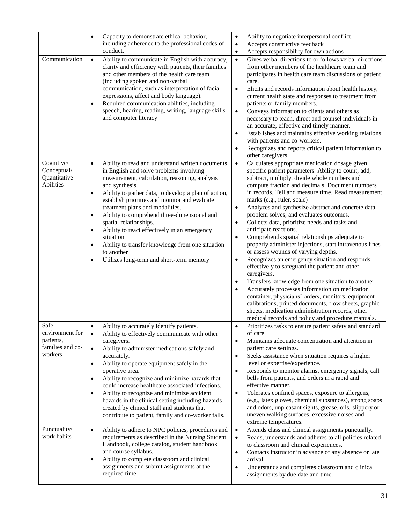| Communication                                                                                      | Capacity to demonstrate ethical behavior,<br>$\bullet$<br>including adherence to the professional codes of<br>conduct.<br>Ability to communicate in English with accuracy,<br>$\bullet$<br>clarity and efficiency with patients, their families<br>and other members of the health care team<br>(including spoken and non-verbal<br>communication, such as interpretation of facial<br>expressions, affect and body language).<br>Required communication abilities, including<br>$\bullet$<br>speech, hearing, reading, writing, language skills<br>and computer literacy                                                                                                                                                                                                                                                                                                                                            | Ability to negotiate interpersonal conflict.<br>$\bullet$<br>Accepts constructive feedback<br>$\bullet$<br>Accepts responsibility for own actions<br>$\bullet$<br>Gives verbal directions to or follows verbal directions<br>$\bullet$<br>from other members of the healthcare team and<br>participates in health care team discussions of patient<br>care.<br>Elicits and records information about health history,<br>$\bullet$<br>current health state and responses to treatment from<br>patients or family members.<br>Conveys information to clients and others as<br>$\bullet$<br>necessary to teach, direct and counsel individuals in<br>an accurate, effective and timely manner.<br>Establishes and maintains effective working relations<br>with patients and co-workers.<br>Recognizes and reports critical patient information to<br>other caregivers.                                                                                                                                                                                                                                                                     |
|----------------------------------------------------------------------------------------------------|----------------------------------------------------------------------------------------------------------------------------------------------------------------------------------------------------------------------------------------------------------------------------------------------------------------------------------------------------------------------------------------------------------------------------------------------------------------------------------------------------------------------------------------------------------------------------------------------------------------------------------------------------------------------------------------------------------------------------------------------------------------------------------------------------------------------------------------------------------------------------------------------------------------------|------------------------------------------------------------------------------------------------------------------------------------------------------------------------------------------------------------------------------------------------------------------------------------------------------------------------------------------------------------------------------------------------------------------------------------------------------------------------------------------------------------------------------------------------------------------------------------------------------------------------------------------------------------------------------------------------------------------------------------------------------------------------------------------------------------------------------------------------------------------------------------------------------------------------------------------------------------------------------------------------------------------------------------------------------------------------------------------------------------------------------------------|
| Cognitive/<br>Conceptual/<br>Quantitative<br>Abilities                                             | Ability to read and understand written documents<br>$\bullet$<br>in English and solve problems involving<br>measurement, calculation, reasoning, analysis<br>and synthesis.<br>Ability to gather data, to develop a plan of action,<br>$\bullet$<br>establish priorities and monitor and evaluate<br>treatment plans and modalities.<br>Ability to comprehend three-dimensional and<br>$\bullet$<br>spatial relationships.<br>Ability to react effectively in an emergency<br>$\bullet$<br>situation.<br>Ability to transfer knowledge from one situation<br>$\bullet$<br>to another<br>Utilizes long-term and short-term memory<br>$\bullet$                                                                                                                                                                                                                                                                        | Calculates appropriate medication dosage given<br>$\bullet$<br>specific patient parameters. Ability to count, add,<br>subtract, multiply, divide whole numbers and<br>compute fraction and decimals. Document numbers<br>in records. Tell and measure time. Read measurement<br>marks (e.g., ruler, scale)<br>Analyzes and synthesize abstract and concrete data,<br>$\bullet$<br>problem solves, and evaluates outcomes.<br>Collects data, prioritize needs and tasks and<br>$\bullet$<br>anticipate reactions.<br>Comprehends spatial relationships adequate to<br>properly administer injections, start intravenous lines<br>or assess wounds of varying depths.<br>Recognizes an emergency situation and responds<br>$\bullet$<br>effectively to safeguard the patient and other<br>caregivers.<br>Transfers knowledge from one situation to another.<br>٠<br>Accurately processes information on medication<br>container, physicians' orders, monitors, equipment<br>calibrations, printed documents, flow sheets, graphic<br>sheets, medication administration records, other<br>medical records and policy and procedure manuals. |
| Safe<br>environment for<br>patients,<br>families and co-<br>workers<br>Punctuality/<br>work habits | Ability to accurately identify patients.<br>$\bullet$<br>Ability to effectively communicate with other<br>caregivers.<br>Ability to administer medications safely and<br>accurately.<br>Ability to operate equipment safely in the<br>operative area.<br>Ability to recognize and minimize hazards that<br>$\bullet$<br>could increase healthcare associated infections.<br>Ability to recognize and minimize accident<br>$\bullet$<br>hazards in the clinical setting including hazards<br>created by clinical staff and students that<br>contribute to patient, family and co-worker falls.<br>Ability to adhere to NPC policies, procedures and<br>$\bullet$<br>requirements as described in the Nursing Student<br>Handbook, college catalog, student handbook<br>and course syllabus.<br>Ability to complete classroom and clinical<br>$\bullet$<br>assignments and submit assignments at the<br>required time. | Prioritizes tasks to ensure patient safety and standard<br>$\bullet$<br>of care.<br>Maintains adequate concentration and attention in<br>patient care settings.<br>Seeks assistance when situation requires a higher<br>level or expertise/experience.<br>Responds to monitor alarms, emergency signals, call<br>$\bullet$<br>bells from patients, and orders in a rapid and<br>effective manner.<br>Tolerates confined spaces, exposure to allergens,<br>$\bullet$<br>(e.g., latex gloves, chemical substances), strong soaps<br>and odors, unpleasant sights, grease, oils, slippery or<br>uneven walking surfaces, excessive noises and<br>extreme temperatures.<br>$\bullet$<br>Attends class and clinical assignments punctually.<br>Reads, understands and adheres to all policies related<br>$\bullet$<br>to classroom and clinical experiences.<br>Contacts instructor in advance of any absence or late<br>$\bullet$<br>arrival.<br>Understands and completes classroom and clinical<br>$\bullet$<br>assignments by due date and time.                                                                                          |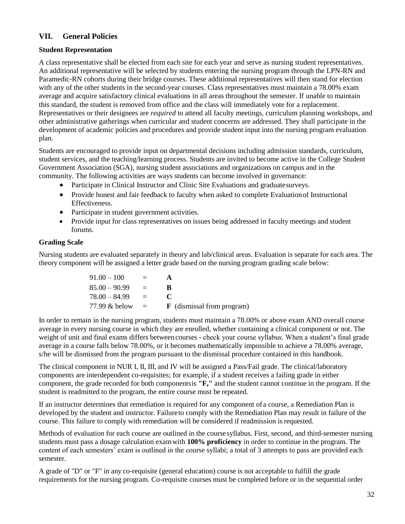#### **VII. General Policies**

#### **Student Representation**

A class representative shall be elected from each site for each year and serve as nursing student representatives. An additional representative will be selected by students entering the nursing program through the LPN-RN and Paramedic-RN cohorts during their bridge courses. These additional representatives will then stand for election with any of the other students in the second-year courses. Class representatives must maintain a 78.00% exam average and acquire satisfactory clinical evaluations in all areas throughout the semester. If unable to maintain this standard, the student is removed from office and the class will immediately vote for a replacement. Representatives or their designees are *required* to attend all faculty meetings, curriculum planning workshops, and other administrative gatherings when curricular and student concerns are addressed. They shall participate in the development of academic policies and procedures and provide student input into the nursing program evaluation plan.

Students are encouraged to provide input on departmental decisions including admission standards, curriculum, student services, and the teaching/learning process. Students are invited to become active in the College Student Government Association (SGA), nursing student associations and organizations on campus and in the community. The following activities are ways students can become involved in governance:

- Participate in Clinical Instructor and Clinic Site Evaluations and graduatesurveys.
- Provide honest and fair feedback to faculty when asked to complete Evaluation of Instructional Effectiveness.
- Participate in student government activities.
- Provide input for class representatives on issues being addressed in faculty meetings and student forums.

#### **Grading Scale**

Nursing students are evaluated separately in theory and lab/clinical areas. Evaluation is separate for each area. The theory component will be assigned a letter grade based on the nursing program grading scale below:

| $91.00 - 100$   | $=$          |                                   |
|-----------------|--------------|-----------------------------------|
| $85.00 - 90.99$ | $=$          | ĸ                                 |
| $78.00 - 84.99$ | $\alpha = 1$ |                                   |
| 77.99 & below   | $\equiv$     | <b>F</b> (dismissal from program) |

In order to remain in the nursing program, students must maintain a 78.00% or above exam AND overall course average in every nursing course in which they are enrolled, whether containing a clinical component or not. The weight of unit and final exams differs between courses - check your course syllabus. When a student's final grade average in a course falls below 78.00%, or it becomes mathematically impossible to achieve a 78.00% average, s/he will be dismissed from the program pursuant to the dismissal procedure contained in this handbook.

The clinical component in NUR I, II, III, and IV will be assigned a Pass/Fail grade. The clinical/laboratory components are interdependent co-requisites; for example, if a student receives a failing grade in either component, the grade recorded for both componentsis **"F,"** and the student cannot continue in the program. If the student is readmitted to the program, the entire course must be repeated.

If an instructor determines that remediation is required for any component of a course, a Remediation Plan is developed by the student and instructor. Failureto comply with the Remediation Plan may result in failure of the course. This failure to comply with remediation will be considered if readmission isrequested.

Methods of evaluation for each course are outlined in the coursesyllabus. First, second, and third-semester nursing students must pass a dosage calculation examwith **100% proficiency** in order to continue in the program. The content of each semesters' exam is outlined in the course syllabi; a total of 3 attempts to pass are provided each semester.

A grade of "D" or "F" in any co-requisite (general education) course is not acceptable to fulfill the grade requirements for the nursing program. Co-requisite courses must be completed before or in the sequential order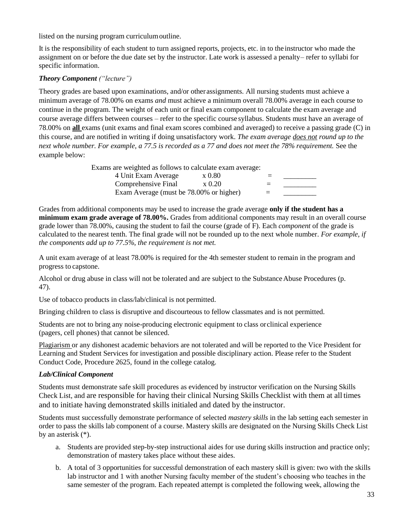listed on the nursing program curriculumoutline.

It is the responsibility of each student to turn assigned reports, projects, etc. in to the instructor who made the assignment on or before the due date set by the instructor. Late work is assessed a penalty– refer to syllabi for specific information.

#### *Theory Component ("lecture")*

Theory grades are based upon examinations, and/or other assignments. All nursing students must achieve a minimum average of 78.00% on exams *and* must achieve a minimum overall 78.00% average in each course to continue in the program. The weight of each unit or final exam component to calculate the exam average and course average differs between courses – refer to the specific course syllabus. Students must have an average of 78.00% on **all** exams (unit exams and final exam scores combined and averaged) to receive a passing grade (C) in this course, and are notified in writing if doing unsatisfactory work. *The exam average does not round up to the next whole number. For example, a 77.5 is recorded as a 77 and does not meet the 78% requirement.* See the example below:

Exams are weighted as follows to calculate exam average:

| 4 Unit Exam Average                     | x 0.80     | $=$ |  |
|-----------------------------------------|------------|-----|--|
| Comprehensive Final                     | $\ge 0.20$ | $=$ |  |
| Exam Average (must be 78.00% or higher) |            | $=$ |  |

Grades from additional components may be used to increase the grade average **only if the student has a minimum exam grade average of 78.00%.** Grades from additional components may result in an overall course grade lower than 78.00%, causing the student to fail the course (grade of F). Each *component* of the grade is calculated to the nearest tenth. The final grade will not be rounded up to the next whole number. *For example, if the components add up to 77.5%, the requirement is not met.*

A unit exam average of at least 78.00% is required for the 4th semester student to remain in the program and progress to capstone.

Alcohol or drug abuse in class will not be tolerated and are subject to the SubstanceAbuse Procedures (p. 47).

Use of tobacco products in class/lab/clinical is not permitted.

Bringing children to class is disruptive and discourteous to fellow classmates and is not permitted.

Students are not to bring any noise-producing electronic equipment to class orclinical experience (pagers, cell phones) that cannot be silenced.

Plagiarism or any dishonest academic behaviors are not tolerated and will be reported to the Vice President for Learning and Student Services for investigation and possible disciplinary action. Please refer to the Student Conduct Code, Procedure 2625, found in the college catalog.

#### *Lab/Clinical Component*

Students must demonstrate safe skill procedures as evidenced by instructor verification on the Nursing Skills Check List, and are responsible for having their clinical Nursing Skills Checklist with them at all times and to initiate having demonstrated skills initialed and dated by the instructor.

Students must successfully demonstrate performance of selected *mastery skills* in the lab setting each semester in order to pass the skills lab component of a course. Mastery skills are designated on the Nursing Skills Check List by an asterisk (\*).

- a. Students are provided step-by-step instructional aides for use during skills instruction and practice only; demonstration of mastery takes place without these aides.
- b. A total of 3 opportunities for successful demonstration of each mastery skill is given: two with the skills lab instructor and 1 with another Nursing faculty member of the student's choosing who teaches in the same semester of the program. Each repeated attempt is completed the following week, allowing the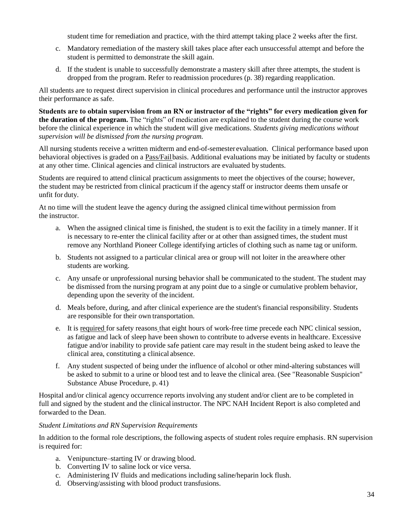student time for remediation and practice, with the third attempt taking place 2 weeks after the first.

- c. Mandatory remediation of the mastery skill takes place after each unsuccessful attempt and before the student is permitted to demonstrate the skill again.
- d. If the student is unable to successfully demonstrate a mastery skill after three attempts, the student is dropped from the program. Refer to readmission procedures (p. 38) regarding reapplication.

All students are to request direct supervision in clinical procedures and performance until the instructor approves their performance as safe.

**Students are to obtain supervision from an RN or instructor of the "rights" for every medication given for the duration of the program.** The "rights" of medication are explained to the student during the course work before the clinical experience in which the student will give medications. *Students giving medications without supervision will be dismissed from the nursing program.*

All nursing students receive a written midterm and end-of-semester evaluation. Clinical performance based upon behavioral objectives is graded on a Pass/Failbasis. Additional evaluations may be initiated by faculty or students at any other time. Clinical agencies and clinical instructors are evaluated by students.

Students are required to attend clinical practicum assignments to meet the objectives of the course; however, the student may be restricted from clinical practicum if the agency staff or instructor deems them unsafe or unfit for duty.

At no time will the student leave the agency during the assigned clinical timewithout permission from the instructor.

- a. When the assigned clinical time is finished, the student is to exit the facility in a timely manner. If it is necessary to re-enter the clinical facility after or at other than assigned times, the student must remove any Northland Pioneer College identifying articles of clothing such as name tag or uniform.
- b. Students not assigned to a particular clinical area or group will not loiter in the areawhere other students are working.
- c. Any unsafe or unprofessional nursing behavior shall be communicated to the student. The student may be dismissed from the nursing program at any point due to a single or cumulative problem behavior, depending upon the severity of the incident.
- d. Meals before, during, and after clinical experience are the student's financial responsibility. Students are responsible for their own transportation.
- e. It is required for safety reasons that eight hours of work-free time precede each NPC clinical session, as fatigue and lack of sleep have been shown to contribute to adverse events in healthcare. Excessive fatigue and/or inability to provide safe patient care may result in the student being asked to leave the clinical area, constituting a clinical absence.
- f. Any student suspected of being under the influence of alcohol or other mind-altering substances will be asked to submit to a urine or blood test and to leave the clinical area. (See "Reasonable Suspicion" Substance Abuse Procedure, p. 41)

Hospital and/or clinical agency occurrence reports involving any student and/or client are to be completed in full and signed by the student and the clinical instructor. The NPC NAH Incident Report is also completed and forwarded to the Dean.

#### *Student Limitations and RN Supervision Requirements*

In addition to the formal role descriptions, the following aspects of student roles require emphasis. RN supervision is required for:

- a. Venipuncture–starting IV or drawing blood.
- b. Converting IV to saline lock or vice versa.
- c. Administering IV fluids and medications including saline/heparin lock flush.
- d. Observing/assisting with blood product transfusions.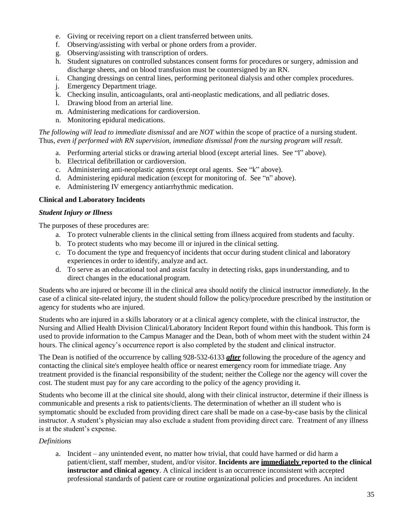- e. Giving or receiving report on a client transferred between units.
- f. Observing/assisting with verbal or phone orders from a provider.
- g. Observing/assisting with transcription of orders.
- h. Student signatures on controlled substances consent forms for procedures or surgery, admission and discharge sheets, and on blood transfusion must be countersigned by an RN.
- i. Changing dressings on central lines, performing peritoneal dialysis and other complex procedures.
- j. Emergency Department triage.
- k. Checking insulin, anticoagulants, oral anti-neoplastic medications, and all pediatric doses.
- l. Drawing blood from an arterial line.
- m. Administering medications for cardioversion.
- n. Monitoring epidural medications.

#### *The following will lead to immediate dismissal* and are *NOT* within the scope of practice of a nursing student. Thus, *even if performed with RN supervision, immediate dismissal from the nursing program will result.*

- a. Performing arterial sticks or drawing arterial blood (except arterial lines. See "l" above).
- b. Electrical defibrillation or cardioversion.
- c. Administering anti-neoplastic agents (except oral agents. See "k" above).
- d. Administering epidural medication (except for monitoring of. See "n" above).
- e. Administering IV emergency antiarrhythmic medication.

#### **Clinical and Laboratory Incidents**

#### *Student Injury or Illness*

The purposes of these procedures are:

- a. To protect vulnerable clients in the clinical setting from illness acquired from students and faculty.
- b. To protect students who may become ill or injured in the clinical setting.
- c. To document the type and frequencyof incidents that occur during student clinical and laboratory experiences in order to identify, analyze and act.
- d. To serve as an educational tool and assist faculty in detecting risks, gaps inunderstanding, and to direct changes in the educational program.

Students who are injured or become ill in the clinical area should notify the clinical instructor *immediately*. In the case of a clinical site-related injury, the student should follow the policy/procedure prescribed by the institution or agency for students who are injured.

Students who are injured in a skills laboratory or at a clinical agency complete, with the clinical instructor, the Nursing and Allied Health Division Clinical/Laboratory Incident Report found within this handbook. This form is used to provide information to the Campus Manager and the Dean, both of whom meet with the student within 24 hours. The clinical agency's occurrence report is also completed by the student and clinical instructor.

The Dean is notified of the occurrence by calling 928-532-6133 *after* following the procedure of the agency and contacting the clinical site's employee health office or nearest emergency room for immediate triage. Any treatment provided is the financial responsibility of the student; neither the College nor the agency will cover the cost. The student must pay for any care according to the policy of the agency providing it.

Students who become ill at the clinical site should, along with their clinical instructor, determine if their illness is communicable and presents a risk to patients/clients. The determination of whether an ill student who is symptomatic should be excluded from providing direct care shall be made on a case-by-case basis by the clinical instructor. A student's physician may also exclude a student from providing direct care. Treatment of any illness is at the student's expense.

#### *Definitions*

a. Incident – any unintended event, no matter how trivial, that could have harmed or did harm a patient/client, staff member, student, and/or visitor. **Incidents are immediately reported to the clinical instructor and clinical agency**. A clinical incident is an occurrence inconsistent with accepted professional standards of patient care or routine organizational policies and procedures. An incident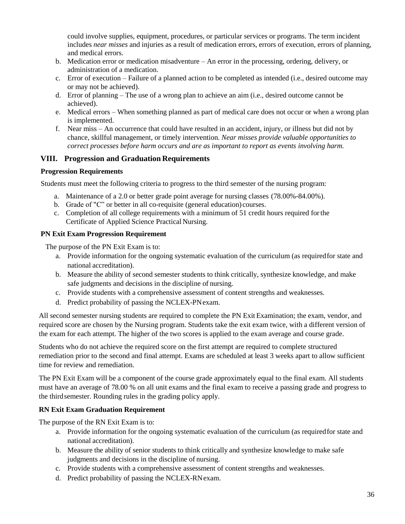could involve supplies, equipment, procedures, or particular services or programs. The term incident includes *near misses* and injuries as a result of medication errors, errors of execution, errors of planning, and medical errors.

- b. Medication error or medication misadventure An error in the processing, ordering, delivery, or administration of a medication.
- c. Error of execution Failure of a planned action to be completed as intended (i.e., desired outcome may or may not be achieved).
- d. Error of planning The use of a wrong plan to achieve an aim (i.e., desired outcome cannot be achieved).
- e. Medical errors When something planned as part of medical care does not occur or when a wrong plan is implemented.
- f. Near miss An occurrence that could have resulted in an accident, injury, or illness but did not by chance, skillful management, or timely intervention. *Near misses provide valuable opportunities to correct processes before harm occurs and are as important to report as events involving harm.*

#### **VIII. Progression and Graduation Requirements**

#### **Progression Requirements**

Students must meet the following criteria to progress to the third semester of the nursing program:

- a. Maintenance of a 2.0 or better grade point average for nursing classes (78.00%-84.00%).
- b. Grade of "C" or better in all co-requisite (general education) courses.
- c. Completion of all college requirements with a minimum of 51 credit hours required forthe Certificate of Applied Science Practical Nursing.

#### **PN Exit Exam Progression Requirement**

The purpose of the PN Exit Exam is to:

- a. Provide information for the ongoing systematic evaluation of the curriculum (as requiredfor state and national accreditation).
- b. Measure the ability of second semester students to think critically, synthesize knowledge, and make safe judgments and decisions in the discipline of nursing.
- c. Provide students with a comprehensive assessment of content strengths and weaknesses.
- d. Predict probability of passing the NCLEX-PNexam.

All second semester nursing students are required to complete the PN Exit Examination; the exam, vendor, and required score are chosen by the Nursing program. Students take the exit exam twice, with a different version of the exam for each attempt. The higher of the two scores is applied to the exam average and course grade.

Students who do not achieve the required score on the first attempt are required to complete structured remediation prior to the second and final attempt. Exams are scheduled at least 3 weeks apart to allow sufficient time for review and remediation.

The PN Exit Exam will be a component of the course grade approximately equal to the final exam. All students must have an average of 78.00 % on all unit exams and the final exam to receive a passing grade and progress to the thirdsemester. Rounding rules in the grading policy apply.

#### **RN Exit Exam Graduation Requirement**

The purpose of the RN Exit Exam is to:

- a. Provide information for the ongoing systematic evaluation of the curriculum (as requiredfor state and national accreditation).
- b. Measure the ability of senior students to think critically and synthesize knowledge to make safe judgments and decisions in the discipline of nursing.
- c. Provide students with a comprehensive assessment of content strengths and weaknesses.
- d. Predict probability of passing the NCLEX-RNexam.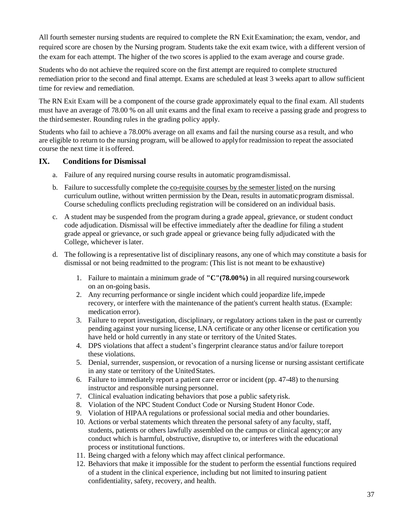All fourth semester nursing students are required to complete the RN Exit Examination; the exam, vendor, and required score are chosen by the Nursing program. Students take the exit exam twice, with a different version of the exam for each attempt. The higher of the two scores is applied to the exam average and course grade.

Students who do not achieve the required score on the first attempt are required to complete structured remediation prior to the second and final attempt. Exams are scheduled at least 3 weeks apart to allow sufficient time for review and remediation.

The RN Exit Exam will be a component of the course grade approximately equal to the final exam. All students must have an average of 78.00 % on all unit exams and the final exam to receive a passing grade and progress to the thirdsemester. Rounding rules in the grading policy apply.

Students who fail to achieve a 78.00% average on all exams and fail the nursing course as a result, and who are eligible to return to the nursing program, will be allowed to applyfor readmission to repeat the associated course the next time it is offered.

#### **IX. Conditions for Dismissal**

- a. Failure of any required nursing course results in automatic programdismissal.
- b. Failure to successfully complete the co-requisite courses by the semester listed on the nursing curriculum outline, without written permission by the Dean, results in automaticprogram dismissal. Course scheduling conflicts precluding registration will be considered on an individual basis.
- c. A student may be suspended from the program during a grade appeal, grievance, or student conduct code adjudication. Dismissal will be effective immediately after the deadline for filing a student grade appeal or grievance, or such grade appeal or grievance being fully adjudicated with the College, whichever islater.
- d. The following is a representative list of disciplinary reasons, any one of which may constitute a basis for dismissal or not being readmitted to the program: (This list is not meant to be exhaustive)
	- 1. Failure to maintain a minimum grade of **"C"(78.00%)** in all required nursingcoursework on an on-going basis.
	- 2. Any recurring performance or single incident which could jeopardize life,impede recovery, or interfere with the maintenance of the patient's current health status. (Example: medication error).
	- 3. Failure to report investigation, disciplinary, or regulatory actions taken in the past or currently pending against your nursing license, LNA certificate or any other license or certification you have held or hold currently in any state or territory of the United States.
	- 4. DPS violations that affect a student's fingerprint clearance status and/or failure toreport these violations.
	- 5. Denial, surrender, suspension, or revocation of a nursing license or nursing assistant certificate in any state or territory of the United States.
	- 6. Failure to immediately report a patient care error or incident (pp. 47-48) to thenursing instructor and responsible nursing personnel.
	- 7. Clinical evaluation indicating behaviors that pose a public safetyrisk.
	- 8. Violation of the NPC Student Conduct Code or Nursing Student Honor Code.
	- 9. Violation of HIPAA regulations or professional social media and other boundaries.
	- 10. Actions or verbal statements which threaten the personal safety of any faculty, staff, students, patients or others lawfully assembled on the campus or clinical agency;or any conduct which is harmful, obstructive, disruptive to, or interferes with the educational process or institutional functions.
	- 11. Being charged with a felony which may affect clinical performance.
	- 12. Behaviors that make it impossible for the student to perform the essential functions required of a student in the clinical experience, including but not limited to insuring patient confidentiality, safety, recovery, and health.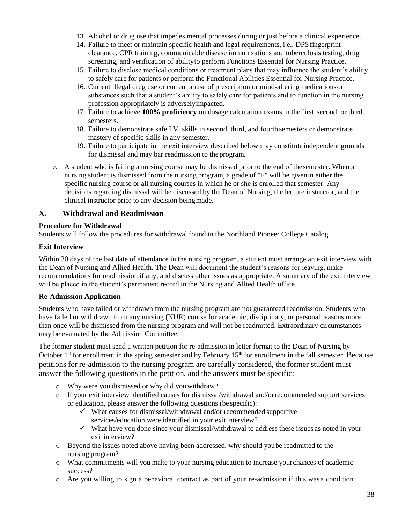- 13. Alcohol or drug use that impedes mental processes during or just before a clinical experience.
- 14. Failure to meet or maintain specific health and legal requirements, i.e., DPSfingerprint clearance, CPR training, communicable disease immunizations and tuberculosis testing, drug screening, and verification of abilityto perform Functions Essential for Nursing Practice.
- 15. Failure to disclose medical conditions or treatment plans that may influence the student's ability to safely care for patients or perform the Functional Abilities Essential for Nursing Practice.
- 16. Current illegal drug use or current abuse of prescription or mind-altering medicationsor substances such that a student's ability to safely care for patients and to function in the nursing profession appropriately is adverselyimpacted.
- 17. Failure to achieve **100% proficiency** on dosage calculation exams in the first, second, or third semesters.
- 18. Failure to demonstrate safe I.V. skills in second, third, and fourth semesters or demonstrate mastery of specific skills in any semester.
- 19. Failure to participate in the exit interview described below may constituteindependent grounds for dismissal and may bar readmission to theprogram.
- e. A student who is failing a nursing course may be dismissed prior to the end of thesemester. When a nursing student is dismissed from the nursing program, a grade of "F" will be givenin either the specific nursing course or all nursing courses in which he or she is enrolled that semester. Any decisions regarding dismissal will be discussed by the Dean of Nursing, the lecture instructor, and the clinical instructor prior to any decision beingmade.

#### **X. Withdrawal and Readmission**

#### **Procedure for Withdrawal**

Students will follow the procedures for withdrawal found in the Northland Pioneer College Catalog.

#### **Exit Interview**

Within 30 days of the last date of attendance in the nursing program, a student must arrange an exit interview with the Dean of Nursing and Allied Health. The Dean will document the student's reasons for leaving, make recommendations for readmission if any, and discuss other issues as appropriate. A summary of the exit interview will be placed in the student's permanent record in the Nursing and Allied Health office.

#### **Re-Admission Application**

Students who have failed or withdrawn from the nursing program are not guaranteed readmission. Students who have failed or withdrawn from any nursing (NUR) course for academic, disciplinary, or personal reasons more than once will be dismissed from the nursing program and will not be readmitted. Extraordinary circumstances may be evaluated by the Admission Committee.

The former student must send a written petition for re-admission in letter format to the Dean of Nursing by October  $1<sup>st</sup>$  for enrollment in the spring semester and by February  $15<sup>th</sup>$  for enrollment in the fall semester. Because petitions for re-admission to the nursing program are carefully considered, the former student must answer the following questions in the petition, and the answers must be specific:

- o Why were you dismissed or why did youwithdraw?
- $\circ$  If your exit interview identified causes for dismissal/withdrawal and/orrecommended support services or education, please answer the following questions (be specific):
	- $\checkmark$  What causes for dismissal/withdrawal and/or recommended supportive services/education were identified in your exitinterview?
	- ✓ What have you done since your dismissal/withdrawal to address these issues as noted in your exit interview?
- o Beyond the issues noted above having been addressed, why should yoube readmitted to the nursing program?
- o What commitments will you make to your nursing education to increase yourchances of academic success?
- o Are you willing to sign a behavioral contract as part of your re-admission if this was a condition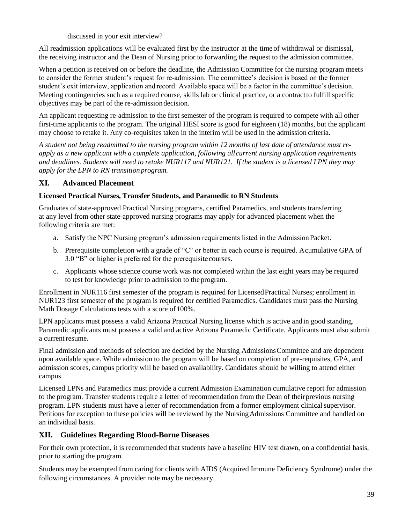discussed in your exit interview?

All readmission applications will be evaluated first by the instructor at the time of withdrawal or dismissal, the receiving instructor and the Dean of Nursing prior to forwarding the request to the admission committee.

When a petition is received on or before the deadline, the Admission Committee for the nursing program meets to consider the former student's request for re-admission. The committee's decision is based on the former student's exit interview, application and record. Available space will be a factor in the committee's decision. Meeting contingencies such as a required course, skills lab or clinical practice, or a contractto fulfill specific objectives may be part of the re-admissiondecision.

An applicant requesting re-admission to the first semester of the program is required to compete with all other first-time applicants to the program. The original HESI score is good for eighteen (18) months, but the applicant may choose to retake it. Any co-requisites taken in the interim will be used in the admission criteria.

*A student not being readmitted to the nursing program within 12 months of last date of attendance must reapply as a new applicant with a complete application, following allcurrent nursing application requirements and deadlines. Students will need to retake NUR117 and NUR121. If the student is a licensed LPN they may apply for the LPN to RN transition program.*

#### **XI. Advanced Placement**

#### **Licensed Practical Nurses, Transfer Students, and Paramedic to RN Students**

Graduates of state-approved Practical Nursing programs, certified Paramedics, and students transferring at any level from other state-approved nursing programs may apply for advanced placement when the following criteria are met:

- a. Satisfy the NPC Nursing program's admission requirements listed in the AdmissionPacket.
- b. Prerequisite completion with a grade of "C" or better in each course is required. Acumulative GPA of 3.0 "B" or higher is preferred for the prerequisitecourses.
- c. Applicants whose science course work was not completed within the last eight years maybe required to test for knowledge prior to admission to the program.

Enrollment in NUR116 first semester of the program is required for LicensedPractical Nurses; enrollment in NUR123 first semester of the program is required for certified Paramedics. Candidates must pass the Nursing Math Dosage Calculations tests with a score of 100%.

LPN applicants must possess a valid Arizona Practical Nursing license which is active and in good standing. Paramedic applicants must possess a valid and active Arizona Paramedic Certificate. Applicants must also submit a current resume.

Final admission and methods of selection are decided by the Nursing AdmissionsCommittee and are dependent upon available space. While admission to the program will be based on completion of pre-requisites, GPA, and admission scores, campus priority will be based on availability. Candidates should be willing to attend either campus.

Licensed LPNs and Paramedics must provide a current Admission Examination cumulative report for admission to the program. Transfer students require a letter of recommendation from the Dean of theirprevious nursing program. LPN students must have a letter of recommendation from a former employment clinical supervisor. Petitions for exception to these policies will be reviewed by the NursingAdmissions Committee and handled on an individual basis.

#### **XII. Guidelines Regarding Blood-Borne Diseases**

For their own protection, it is recommended that students have a baseline HIV test drawn, on a confidential basis, prior to starting the program.

Students may be exempted from caring for clients with AIDS (Acquired Immune Deficiency Syndrome) under the following circumstances. A provider note may be necessary.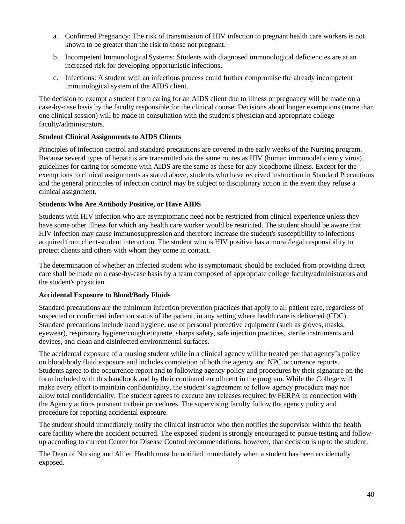- a. Confirmed Pregnancy: The risk of transmission of HIV infection to pregnant health care workers is not known to be greater than the risk to those not pregnant.
- b. Incompetent Immunological Systems: Students with diagnosed immunological deficiencies are at an increased risk for developing opportunistic infections.
- c. Infections: A student with an infectious process could further compromise the already incompetent immunological system of the AIDS client.

The decision to exempt a student from caring for an AIDS client due to illness or pregnancy will be made on a case-by-case basis by the faculty responsible for the clinical course. Decisions about longer exemptions (more than one clinical session) will be made in consultation with the student's physician and appropriate college faculty/administrators.

#### **Student Clinical Assignments to AIDS Clients**

Principles of infection control and standard precautions are covered in the early weeks of the Nursing program. Because several types of hepatitis are transmitted via the same routes as HIV (human immunodeficiency virus), guidelines for caring for someone with AIDS are the same as those for any bloodborne illness. Except for the exemptions to clinical assignments as stated above, students who have received instruction in Standard Precautions and the general principles of infection control may be subject to disciplinary action in the event they refuse a clinical assignment.

#### **Students Who Are Antibody Positive, or Have AIDS**

Students with HIV infection who are asymptomatic need not be restricted from clinical experience unless they have some other illness for which any health care worker would be restricted. The student should be aware that HIV infection may cause immunosuppression and therefore increase the student's susceptibility to infections acquired from client-student interaction. The student who is HIV positive has a moral/legal responsibility to protect clients and others with whom they come in contact.

The determination of whether an infected student who is symptomatic should be excluded from providing direct care shall be made on a case-by-case basis by a team composed of appropriate college faculty/administrators and the student's physician.

#### **Accidental Exposure to Blood/Body Fluids**

Standard precautions are the minimum infection prevention practices that apply to all patient care, regardless of suspected or confirmed infection status of the patient, in any setting where health care is delivered (CDC). Standard precautions include hand hygiene, use of personal protective equipment (such as gloves, masks, eyewear), respiratory hygiene/cough etiquette, sharps safety, safe injection practices, sterile instruments and devices, and clean and disinfected environmental surfaces.

The accidental exposure of a nursing student while in a clinical agency will be treated per that agency's policy on blood/body fluid exposure and includes completion of both the agency and NPC occurrence reports. Students agree to the occurrence report and to following agency policy and procedures by their signature on the form included with this handbook and by their continued enrollment in the program. While the College will make every effort to maintain confidentiality, the student's agreement to follow agency procedure may not allow total confidentiality. The student agrees to execute any releases required by FERPA in connection with the Agency actions pursuant to their procedures. The supervising faculty follow the agency policy and procedure for reporting accidental exposure.

The student should immediately notify the clinical instructor who then notifies the supervisor within the health care facility where the accident occurred. The exposed student is strongly encouraged to pursue testing and followup according to current Center for Disease Control recommendations, however, that decision is up to the student.

The Dean of Nursing and Allied Health must be notified immediately when a student has been accidentally exposed.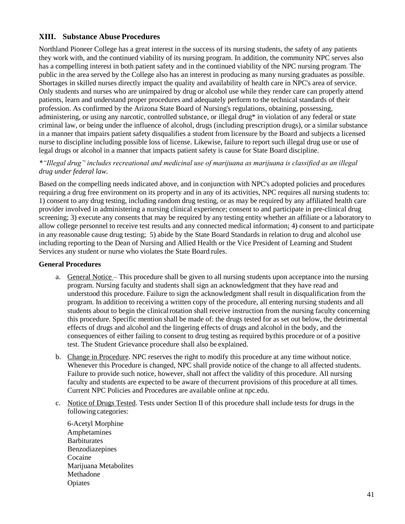#### **XIII. Substance Abuse Procedures**

Northland Pioneer College has a great interest in the success of its nursing students, the safety of any patients they work with, and the continued viability of its nursing program. In addition, the community NPC serves also has a compelling interest in both patient safety and in the continued viability of the NPC nursing program. The public in the area served by the College also has an interest in producing as many nursing graduates as possible. Shortages in skilled nurses directly impact the quality and availability of health care in NPC's area of service. Only students and nurses who are unimpaired by drug or alcohol use while they render care can properly attend patients, learn and understand proper procedures and adequately perform to the technical standards of their profession. As confirmed by the Arizona State Board of Nursing's regulations, obtaining, possessing, administering, or using any narcotic, controlled substance, or illegal drug\* in violation of any federal or state criminal law, or being under the influence of alcohol, drugs (including prescription drugs), or a similar substance in a manner that impairs patient safety disqualifies a student from licensure by the Board and subjects a licensed nurse to discipline including possible loss of license. Likewise, failure to report such illegal drug use or use of legal drugs or alcohol in a manner that impacts patient safety is cause for State Board discipline.

#### *\*"Illegal drug" includes recreational and medicinal use of marijuana as marijuana is classified as an illegal drug under federal law.*

Based on the compelling needs indicated above, and in conjunction with NPC's adopted policies and procedures requiring a drug free environment on its property and in any of its activities, NPC requires all nursing students to: 1) consent to any drug testing, including random drug testing, or as may be required by any affiliated health care provider involved in administering a nursing clinical experience; consent to and participate in pre-clinical drug screening; 3) execute any consents that may be required by any testing entity whether an affiliate or a laboratory to allow college personnel to receive test results and any connected medical information; 4) consent to and participate in any reasonable cause drug testing; 5) abide by the State Board Standards in relation to drug and alcohol use including reporting to the Dean of Nursing and Allied Health or the Vice President of Learning and Student Services any student or nurse who violates the State Board rules.

#### **General Procedures**

- a. General Notice This procedure shall be given to all nursing students upon acceptance into the nursing program. Nursing faculty and students shall sign an acknowledgment that they have read and understood this procedure. Failure to sign the acknowledgment shall result in disqualification from the program. In addition to receiving a written copy of the procedure, all entering nursing students and all students about to begin the clinicalrotation shall receive instruction from the nursing faculty concerning this procedure. Specific mention shall be made of: the drugs tested for as set out below, the detrimental effects of drugs and alcohol and the lingering effects of drugs and alcohol in the body, and the consequences of either failing to consent to drug testing as required bythis procedure or of a positive test. The Student Grievance procedure shall also be explained.
- b. Change in Procedure. NPC reserves the right to modify this procedure at any time without notice. Whenever this Procedure is changed, NPC shall provide notice of the change to all affected students. Failure to provide such notice, however, shall not affect the validity of this procedure. All nursing faculty and students are expected to be aware of thecurrent provisions of this procedure at all times. Current NPC Policies and Procedures are available online at npc.edu.
- c. Notice of Drugs Tested. Tests under Section II of this procedure shall include tests for drugs in the following categories:
	- 6-Acetyl Morphine Amphetamines **Barbiturates** Benzodiazepines Cocaine Marijuana Metabolites Methadone Opiates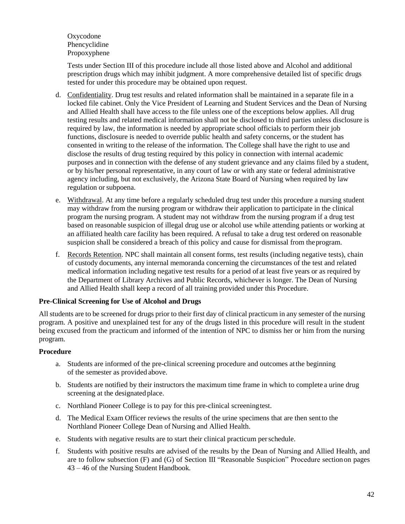Oxycodone Phencyclidine Propoxyphene

Tests under Section III of this procedure include all those listed above and Alcohol and additional prescription drugs which may inhibit judgment. A more comprehensive detailed list of specific drugs tested for under this procedure may be obtained upon request.

- d. Confidentiality. Drug test results and related information shall be maintained in a separate file in a locked file cabinet. Only the Vice President of Learning and Student Services and the Dean of Nursing and Allied Health shall have access to the file unless one of the exceptions below applies. All drug testing results and related medical information shall not be disclosed to third parties unless disclosure is required by law, the information is needed by appropriate school officials to perform their job functions, disclosure is needed to override public health and safety concerns, or the student has consented in writing to the release of the information. The College shall have the right to use and disclose the results of drug testing required by this policy in connection with internal academic purposes and in connection with the defense of any student grievance and any claims filed by a student, or by his/her personal representative, in any court of law or with any state or federal administrative agency including, but not exclusively, the Arizona State Board of Nursing when required by law regulation or subpoena.
- e. Withdrawal. At any time before a regularly scheduled drug test under this procedure a nursing student may withdraw from the nursing program or withdraw their application to participate in the clinical program the nursing program. A student may not withdraw from the nursing program if a drug test based on reasonable suspicion of illegal drug use or alcohol use while attending patients or working at an affiliated health care facility has been required. A refusal to take a drug test ordered on reasonable suspicion shall be considered a breach of this policy and cause for dismissal from theprogram.
- f. Records Retention. NPC shall maintain all consent forms, test results (including negative tests), chain of custody documents, any internal memoranda concerning the circumstances of the test and related medical information including negative test results for a period of at least five years or as required by the Department of Library Archives and Public Records, whichever is longer. The Dean of Nursing and Allied Health shall keep a record of all training provided under this Procedure.

#### **Pre-Clinical Screening for Use of Alcohol and Drugs**

All students are to be screened for drugs prior to their first day of clinical practicum in any semester of the nursing program. A positive and unexplained test for any of the drugs listed in this procedure will result in the student being excused from the practicum and informed of the intention of NPC to dismiss her or him from the nursing program.

#### **Procedure**

- a. Students are informed of the pre-clinical screening procedure and outcomes atthe beginning of the semester as provided above.
- b. Students are notified by their instructors the maximum time frame in which to complete a urine drug screening at the designated place.
- c. Northland Pioneer College is to pay for this pre-clinical screeningtest.
- d. The Medical Exam Officer reviews the results of the urine specimens that are then sentto the Northland Pioneer College Dean of Nursing and Allied Health.
- e. Students with negative results are to start their clinical practicum perschedule.
- f. Students with positive results are advised of the results by the Dean of Nursing and Allied Health, and are to follow subsection (F) and (G) of Section III "Reasonable Suspicion" Procedure sectionon pages 43 – 46 of the Nursing Student Handbook.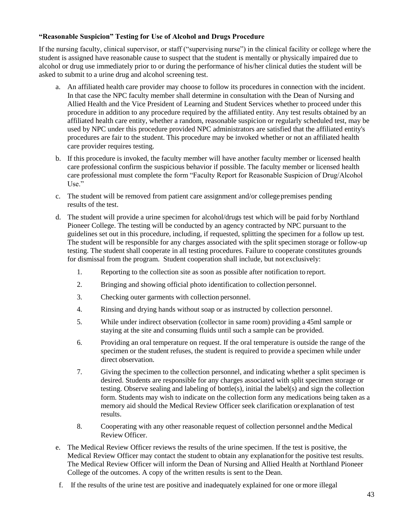#### **"Reasonable Suspicion" Testing for Use of Alcohol and Drugs Procedure**

If the nursing faculty, clinical supervisor, or staff ("supervising nurse") in the clinical facility or college where the student is assigned have reasonable cause to suspect that the student is mentally or physically impaired due to alcohol or drug use immediately prior to or during the performance of his/her clinical duties the student will be asked to submit to a urine drug and alcohol screening test.

- a. An affiliated health care provider may choose to follow its procedures in connection with the incident. In that case the NPC faculty member shall determine in consultation with the Dean of Nursing and Allied Health and the Vice President of Learning and Student Services whether to proceed under this procedure in addition to any procedure required by the affiliated entity. Any test results obtained by an affiliated health care entity, whether a random, reasonable suspicion or regularly scheduled test, may be used by NPC under this procedure provided NPC administrators are satisfied that the affiliated entity's procedures are fair to the student. This procedure may be invoked whether or not an affiliated health care provider requires testing.
- b. If this procedure is invoked, the faculty member will have another faculty member or licensed health care professional confirm the suspicious behavior if possible. The faculty member or licensed health care professional must complete the form "Faculty Report for Reasonable Suspicion of Drug/Alcohol Use."
- c. The student will be removed from patient care assignment and/or college premises pending results of the test.
- d. The student will provide a urine specimen for alcohol/drugs test which will be paid for by Northland Pioneer College. The testing will be conducted by an agency contracted by NPC pursuant to the guidelines set out in this procedure, including, if requested, splitting the specimen for a follow up test. The student will be responsible for any charges associated with the split specimen storage or follow-up testing. The student shall cooperate in all testing procedures. Failure to cooperate constitutes grounds for dismissal from the program. Student cooperation shall include, but not exclusively:
	- 1. Reporting to the collection site as soon as possible after notification to report.
	- 2. Bringing and showing official photo identification to collection personnel.
	- 3. Checking outer garments with collection personnel.
	- 4. Rinsing and drying hands without soap or as instructed by collection personnel.
	- 5. While under indirect observation (collector in same room) providing a 45ml sample or staying at the site and consuming fluids until such a sample can be provided.
	- 6. Providing an oral temperature on request. If the oral temperature is outside the range of the specimen or the student refuses, the student is required to provide a specimen while under direct observation.
	- 7. Giving the specimen to the collection personnel, and indicating whether a split specimen is desired. Students are responsible for any charges associated with split specimen storage or testing. Observe sealing and labeling of bottle(s), initial the label(s) and sign the collection form. Students may wish to indicate on the collection form any medications being taken as a memory aid should the Medical Review Officer seek clarification or explanation of test results.
	- 8. Cooperating with any other reasonable request of collection personnel andthe Medical Review Officer.
- e. The Medical Review Officer reviews the results of the urine specimen. If the test is positive, the Medical Review Officer may contact the student to obtain any explanationfor the positive test results. The Medical Review Officer will inform the Dean of Nursing and Allied Health at Northland Pioneer College of the outcomes. A copy of the written results is sent to the Dean.
- f. If the results of the urine test are positive and inadequately explained for one ormore illegal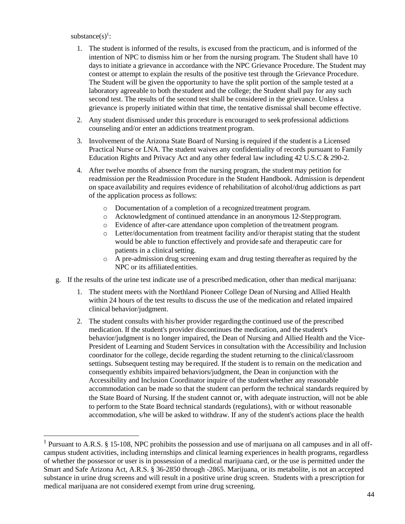#### substance $(s)$ <sup>1</sup>:

l

- 1. The student is informed of the results, is excused from the practicum, and is informed of the intention of NPC to dismiss him or her from the nursing program. The Student shall have 10 days to initiate a grievance in accordance with the NPC Grievance Procedure. The Student may contest or attempt to explain the results of the positive test through the Grievance Procedure. The Student will be given the opportunity to have the split portion of the sample tested at a laboratory agreeable to both thestudent and the college; the Student shall pay for any such second test. The results of the second test shall be considered in the grievance. Unless a grievance is properly initiated within that time, the tentative dismissal shall become effective.
- 2. Any student dismissed under this procedure is encouraged to seekprofessional addictions counseling and/or enter an addictions treatment program.
- 3. Involvement of the Arizona State Board of Nursing is required if the studentis a Licensed Practical Nurse or LNA. The student waives any confidentiality of records pursuant to Family Education Rights and Privacy Act and any other federal law including 42 U.S.C & 290-2.
- 4. After twelve months of absence from the nursing program, the studentmay petition for readmission per the Readmission Procedure in the Student Handbook. Admission is dependent on space availability and requires evidence of rehabilitation of alcohol/drug addictions as part of the application process as follows:
	- o Documentation of a completion of a recognizedtreatment program.
	- o Acknowledgment of continued attendance in an anonymous 12-Stepprogram.
	- o Evidence of after-care attendance upon completion of the treatment program.
	- o Letter/documentation from treatment facility and/or therapist stating that the student would be able to function effectively and provide safe and therapeutic care for patients in a clinical setting.
	- o A pre-admission drug screening exam and drug testing thereafteras required by the NPC or its affiliated entities.
- g. If the results of the urine test indicate use of a prescribed medication, other than medical marijuana:
	- 1. The student meets with the Northland Pioneer College Dean of Nursing and Allied Health within 24 hours of the test results to discuss the use of the medication and related impaired clinical behavior/judgment.
	- 2. The student consults with his/her provider regardingthe continued use of the prescribed medication. If the student's provider discontinues the medication, and the student's behavior/judgment is no longer impaired, the Dean of Nursing and Allied Health and the Vice-President of Learning and Student Services in consultation with the Accessibility and Inclusion coordinator for the college, decide regarding the student returning to the clinical/classroom settings. Subsequent testing may be required. If the student is to remain on the medication and consequently exhibits impaired behaviors/judgment, the Dean in conjunction with the Accessibility and Inclusion Coordinator inquire of the studentwhether any reasonable accommodation can be made so that the student can perform the technical standards required by the State Board of Nursing. If the student cannot or, with adequate instruction, will not be able to perform to the State Board technical standards (regulations), with or without reasonable accommodation, s/he will be asked to withdraw. If any of the student's actions place the health

<sup>&</sup>lt;sup>1</sup> Pursuant to A.R.S. § 15-108, NPC prohibits the possession and use of marijuana on all campuses and in all offcampus student activities, including internships and clinical learning experiences in health programs, regardless of whether the possessor or user is in possession of a medical marijuana card, or the use is permitted under the Smart and Safe Arizona Act, A.R.S. § 36-2850 through -2865. Marijuana, or its metabolite, is not an accepted substance in urine drug screens and will result in a positive urine drug screen. Students with a prescription for medical marijuana are not considered exempt from urine drug screening.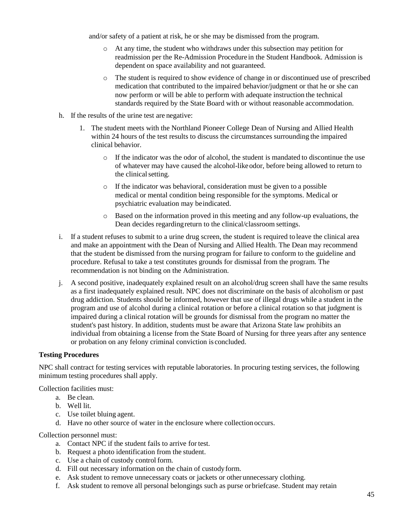and/or safety of a patient at risk, he or she may be dismissed from the program.

- o At any time, the student who withdraws under this subsection may petition for readmission per the Re-Admission Procedure in the Student Handbook. Admission is dependent on space availability and not guaranteed.
- o The student is required to show evidence of change in or discontinued use of prescribed medication that contributed to the impaired behavior/judgment or that he or she can now perform or will be able to perform with adequate instruction the technical standards required by the State Board with or without reasonable accommodation.
- h. If the results of the urine test are negative:
	- 1. The student meets with the Northland Pioneer College Dean of Nursing and Allied Health within 24 hours of the test results to discuss the circumstances surrounding the impaired clinical behavior.
		- $\circ$  If the indicator was the odor of alcohol, the student is mandated to discontinue the use of whatever may have caused the alcohol-likeodor, before being allowed to return to the clinical setting.
		- o If the indicator was behavioral, consideration must be given to a possible medical or mental condition being responsible for the symptoms. Medical or psychiatric evaluation may beindicated.
		- o Based on the information proved in this meeting and any follow-up evaluations, the Dean decides regardingreturn to the clinical/classroom settings.
- i. If a student refuses to submit to a urine drug screen, the student is required to leave the clinical area and make an appointment with the Dean of Nursing and Allied Health. The Dean may recommend that the student be dismissed from the nursing program for failure to conform to the guideline and procedure. Refusal to take a test constitutes grounds for dismissal from the program. The recommendation is not binding on the Administration.
- j. A second positive, inadequately explained result on an alcohol/drug screen shall have the same results as a first inadequately explained result. NPC does not discriminate on the basis of alcoholism or past drug addiction. Students should be informed, however that use of illegal drugs while a student in the program and use of alcohol during a clinical rotation or before a clinical rotation so that judgment is impaired during a clinical rotation will be grounds for dismissal from the program no matter the student's past history. In addition, students must be aware that Arizona State law prohibits an individual from obtaining a license from the State Board of Nursing for three years after any sentence or probation on any felony criminal conviction is concluded.

#### **Testing Procedures**

NPC shall contract for testing services with reputable laboratories. In procuring testing services, the following minimum testing procedures shall apply.

Collection facilities must:

- a. Be clean.
- b. Well lit.
- c. Use toilet bluing agent.
- d. Have no other source of water in the enclosure where collectionoccurs.

Collection personnel must:

- a. Contact NPC if the student fails to arrive for test.
- b. Request a photo identification from the student.
- c. Use a chain of custody control form.
- d. Fill out necessary information on the chain of custodyform.
- e. Ask student to remove unnecessary coats or jackets or other unnecessary clothing.
- f. Ask student to remove all personal belongings such as purse orbriefcase. Student may retain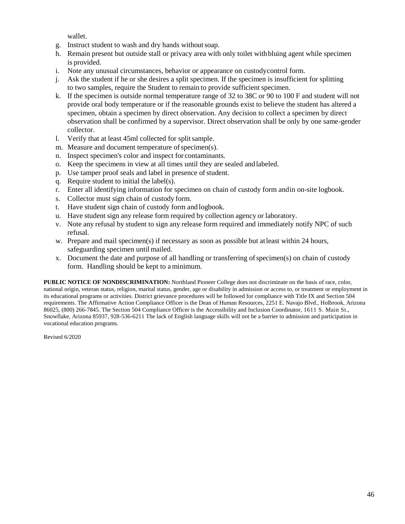wallet.

- g. Instruct student to wash and dry hands withoutsoap.
- h. Remain present but outside stall or privacy area with only toilet withbluing agent while specimen is provided.
- i. Note any unusual circumstances, behavior or appearance on custodycontrol form.
- j. Ask the student if he or she desires a split specimen. If the specimen is insufficient for splitting to two samples, require the Student to remain to provide sufficient specimen.
- k. If the specimen is outside normal temperature range of 32 to 38C or 90 to 100 F and student will not provide oral body temperature or if the reasonable grounds exist to believe the student has altered a specimen, obtain a specimen by direct observation. Any decision to collect a specimen by direct observation shall be confirmed by a supervisor. Direct observation shall be only by one same-gender collector.
- l. Verify that at least 45ml collected for splitsample.
- m. Measure and document temperature of specimen(s).
- n. Inspect specimen's color and inspect for contaminants.
- o. Keep the specimens in view at all times until they are sealed andlabeled.
- p. Use tamper proof seals and label in presence of student.
- q. Require student to initial the label(s).
- r. Enter all identifying information for specimen on chain of custody form andin on-site logbook.
- s. Collector must sign chain of custody form.
- t. Have student sign chain of custody form and logbook.
- u. Have student sign any release form required by collection agency or laboratory.
- v. Note any refusal by student to sign any release form required and immediately notify NPC of such refusal.
- w. Prepare and mail specimen(s) if necessary as soon as possible but at least within 24 hours, safeguarding specimen until mailed.
- x. Document the date and purpose of all handling or transferring of specimen(s) on chain of custody form. Handling should be kept to aminimum.

**PUBLIC NOTICE OF NONDISCRIMINATION:** Northland Pioneer College does not discriminate on the basis of race, color, national origin, veteran status, religion, marital status, gender, age or disability in admission or access to, or treatment or employment in its educational programs or activities. District grievance procedures will be followed for compliance with Title IX and Section 504 requirements. The Affirmative Action Compliance Officer is the Dean of Human Resources, 2251 E. Navajo Blvd., Holbrook, Arizona 86025, (800) 266-7845. The Section 504 Compliance Officer is the Accessibility and Inclusion Coordinator, 1611 S. Main St., Snowflake, Arizona 85937, 928-536-6211 The lack of English language skills will not be a barrier to admission and participation in vocational education programs.

Revised 6/2020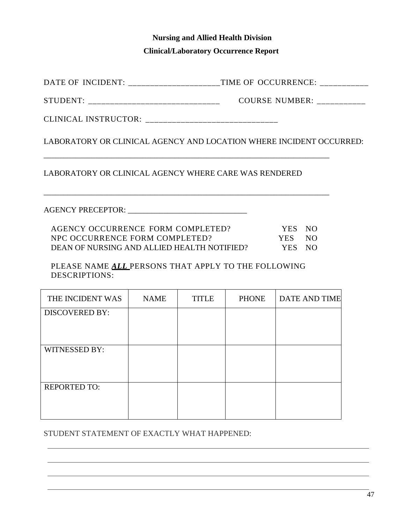## **Nursing and Allied Health Division Clinical/Laboratory Occurrence Report**

DATE OF INCIDENT: \_\_\_\_\_\_\_\_\_\_\_\_\_\_\_\_\_\_\_\_\_TIME OF OCCURRENCE: \_\_\_\_\_\_\_\_\_\_\_\_\_\_\_\_\_\_\_\_\_

STUDENT: \_\_\_\_\_\_\_\_\_\_\_\_\_\_\_\_\_\_\_\_\_\_\_\_\_\_\_\_\_\_ COURSE NUMBER: \_\_\_\_\_\_\_\_\_\_\_

CLINICAL INSTRUCTOR: \_\_\_\_\_\_\_\_\_\_\_\_\_\_\_\_\_\_\_\_\_\_\_\_\_\_\_\_\_\_

LABORATORY OR CLINICAL AGENCY AND LOCATION WHERE INCIDENT OCCURRED:

LABORATORY OR CLINICAL AGENCY WHERE CARE WAS RENDERED

\_\_\_\_\_\_\_\_\_\_\_\_\_\_\_\_\_\_\_\_\_\_\_\_\_\_\_\_\_\_\_\_\_\_\_\_\_\_\_\_\_\_\_\_\_\_\_\_\_\_\_\_\_\_\_\_\_\_\_\_\_\_\_\_\_\_\_\_\_\_\_\_

\_\_\_\_\_\_\_\_\_\_\_\_\_\_\_\_\_\_\_\_\_\_\_\_\_\_\_\_\_\_\_\_\_\_\_\_\_\_\_\_\_\_\_\_\_\_\_\_\_\_\_\_\_\_\_\_\_\_\_\_\_\_\_\_\_\_\_\_\_\_\_\_

AGENCY PRECEPTOR: \_\_\_\_\_\_\_\_\_\_\_\_\_\_\_\_\_\_\_\_\_\_\_\_\_\_\_\_\_\_

| AGENCY OCCURRENCE FORM COMPLETED?           | YES NO |  |
|---------------------------------------------|--------|--|
| NPC OCCURRENCE FORM COMPLETED?              | YES NO |  |
| DEAN OF NURSING AND ALLIED HEALTH NOTIFIED? | YES NO |  |

PLEASE NAME *ALL* PERSONS THAT APPLY TO THE FOLLOWING DESCRIPTIONS:

| THE INCIDENT WAS      | <b>NAME</b> | <b>TITLE</b> | <b>PHONE</b> | <b>DATE AND TIME</b> |
|-----------------------|-------------|--------------|--------------|----------------------|
| <b>DISCOVERED BY:</b> |             |              |              |                      |
|                       |             |              |              |                      |
| WITNESSED BY:         |             |              |              |                      |
|                       |             |              |              |                      |
| <b>REPORTED TO:</b>   |             |              |              |                      |
|                       |             |              |              |                      |

STUDENT STATEMENT OF EXACTLY WHAT HAPPENED: